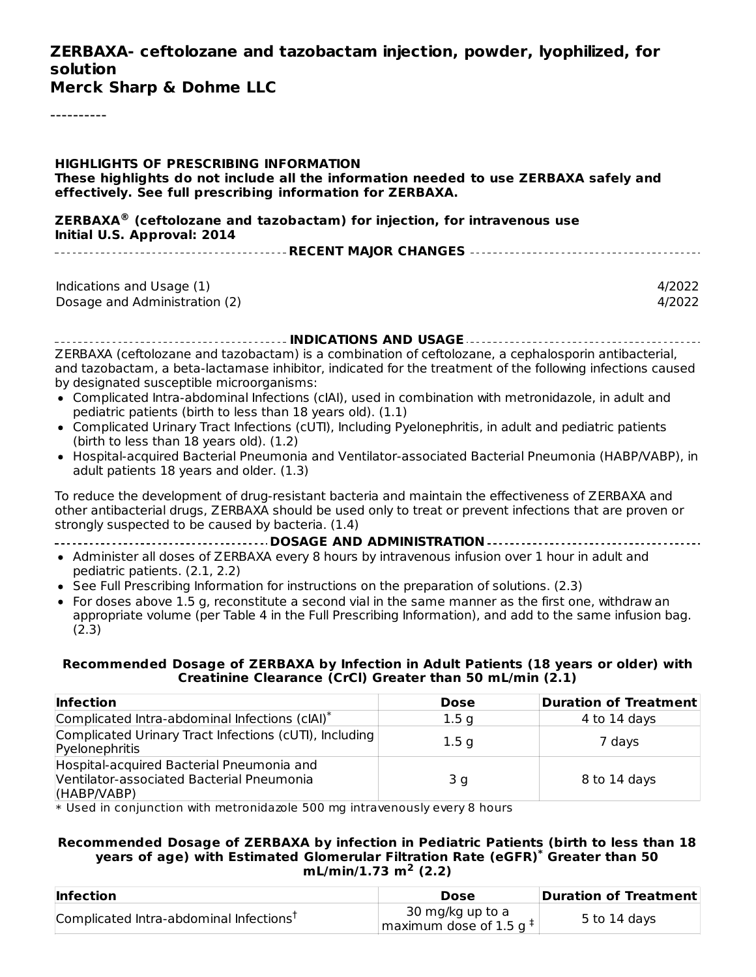#### **ZERBAXA- ceftolozane and tazobactam injection, powder, lyophilized, for solution**

**Merck Sharp & Dohme LLC**

----------

#### **HIGHLIGHTS OF PRESCRIBING INFORMATION These highlights do not include all the information needed to use ZERBAXA safely and effectively. See full prescribing information for ZERBAXA.**

**ZERBAXA (ceftolozane and tazobactam) for injection, for intravenous use ® Initial U.S. Approval: 2014**

|--|

| Indications and Usage (1)     | 4/2022 |
|-------------------------------|--------|
| Dosage and Administration (2) | 4/2022 |

**INDICATIONS AND USAGE** ZERBAXA (ceftolozane and tazobactam) is a combination of ceftolozane, a cephalosporin antibacterial, and tazobactam, a beta-lactamase inhibitor, indicated for the treatment of the following infections caused by designated susceptible microorganisms:

- Complicated Intra-abdominal Infections (cIAI), used in combination with metronidazole, in adult and pediatric patients (birth to less than 18 years old). (1.1)
- Complicated Urinary Tract Infections (cUTI), Including Pyelonephritis, in adult and pediatric patients (birth to less than  $18$  years old).  $(1.2)$
- Hospital-acquired Bacterial Pneumonia and Ventilator-associated Bacterial Pneumonia (HABP/VABP), in adult patients 18 years and older. (1.3)

To reduce the development of drug-resistant bacteria and maintain the effectiveness of ZERBAXA and other antibacterial drugs, ZERBAXA should be used only to treat or prevent infections that are proven or strongly suspected to be caused by bacteria. (1.4)

**DOSAGE AND ADMINISTRATION**

- Administer all doses of ZERBAXA every 8 hours by intravenous infusion over 1 hour in adult and pediatric patients. (2.1, 2.2)
- See Full Prescribing Information for instructions on the preparation of solutions. (2.3)
- For doses above 1.5 g, reconstitute a second vial in the same manner as the first one, withdraw an appropriate volume (per Table 4 in the Full Prescribing Information), and add to the same infusion bag. (2.3)

#### **Recommended Dosage of ZERBAXA by Infection in Adult Patients (18 years or older) with Creatinine Clearance (CrCl) Greater than 50 mL/min (2.1)**

| <b>Infection</b>                                                                                      | <b>Dose</b>      | <b>Duration of Treatment</b> |
|-------------------------------------------------------------------------------------------------------|------------------|------------------------------|
| Complicated Intra-abdominal Infections (cIAI)*                                                        | 1.5 <sub>q</sub> | 4 to 14 days                 |
| Complicated Urinary Tract Infections (cUTI), Including<br>Pyelonephritis                              | 1.5 <sub>q</sub> | 7 days                       |
| Hospital-acquired Bacterial Pneumonia and<br>Ventilator-associated Bacterial Pneumonia<br>(HABP/NABP) | 3q               | 8 to 14 days                 |

\* Used in conjunction with metronidazole 500 mg intravenously every 8 hours

#### **Recommended Dosage of ZERBAXA by infection in Pediatric Patients (birth to less than 18 years of age) with Estimated Glomerular Filtration Rate (eGFR) Greater than 50 \* mL/min/1.73 m<sup>2</sup> (2.2)**

| <b>Infection</b>                                    | Dose                                                    | Duration of Treatment |
|-----------------------------------------------------|---------------------------------------------------------|-----------------------|
| Complicated Intra-abdominal Infections <sup>†</sup> | 30 mg/kg up to a<br>maximum dose of 1.5 g $^{\ddagger}$ | 5 to 14 days          |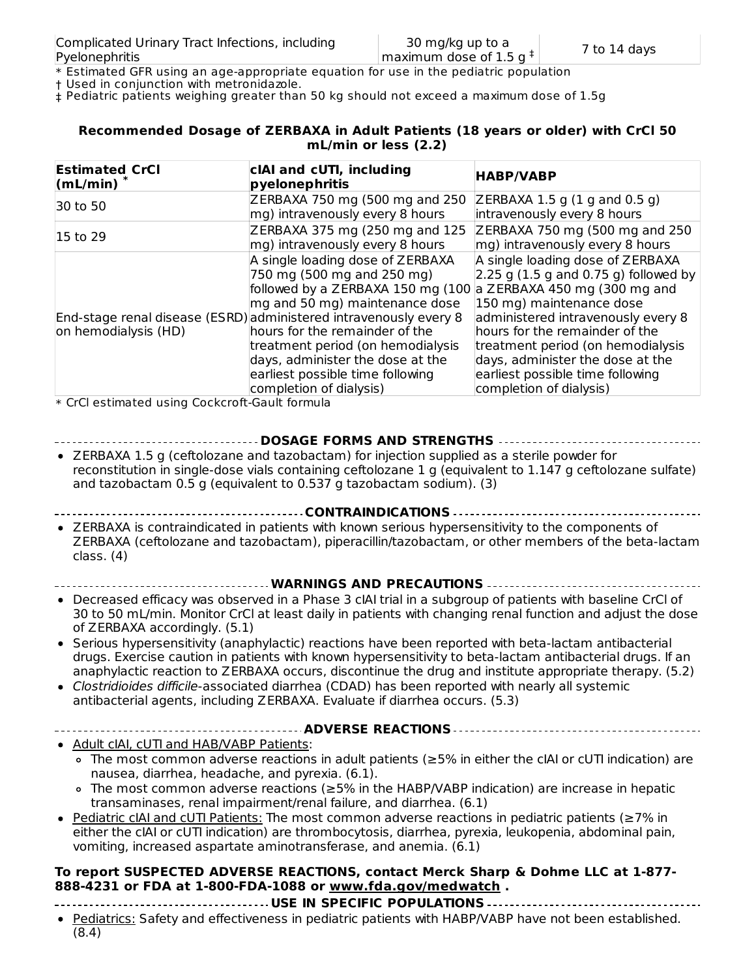\* Estimated GFR using an age-appropriate equation for use in the pediatric population

† Used in conjunction with metronidazole.

‡ Pediatric patients weighing greater than 50 kg should not exceed a maximum dose of 1.5g

#### **Recommended Dosage of ZERBAXA in Adult Patients (18 years or older) with CrCl 50 mL/min or less (2.2)**

| cIAI and cUTI, including<br>pyelonephritis                     | <b>HABP/VABP</b>                                                                                                                                                                                                                                                                                                                                                              |
|----------------------------------------------------------------|-------------------------------------------------------------------------------------------------------------------------------------------------------------------------------------------------------------------------------------------------------------------------------------------------------------------------------------------------------------------------------|
| ZERBAXA 750 mg (500 mg and 250                                 | $ZERBAXA$ 1.5 g (1 g and 0.5 g)                                                                                                                                                                                                                                                                                                                                               |
|                                                                | intravenously every 8 hours                                                                                                                                                                                                                                                                                                                                                   |
| ZERBAXA 375 mg (250 mg and 125                                 | ZERBAXA 750 mg (500 mg and 250                                                                                                                                                                                                                                                                                                                                                |
|                                                                | mg) intravenously every 8 hours                                                                                                                                                                                                                                                                                                                                               |
| A single loading dose of ZERBAXA<br>750 mg (500 mg and 250 mg) | A single loading dose of ZERBAXA<br>$\left 2.25\right $ g (1.5 g and 0.75 g) followed by                                                                                                                                                                                                                                                                                      |
|                                                                | a ZERBAXA 450 mg (300 mg and<br>150 mg) maintenance dose                                                                                                                                                                                                                                                                                                                      |
|                                                                | administered intravenously every 8                                                                                                                                                                                                                                                                                                                                            |
|                                                                | hours for the remainder of the                                                                                                                                                                                                                                                                                                                                                |
|                                                                | treatment period (on hemodialysis                                                                                                                                                                                                                                                                                                                                             |
| days, administer the dose at the                               | days, administer the dose at the                                                                                                                                                                                                                                                                                                                                              |
|                                                                | earliest possible time following                                                                                                                                                                                                                                                                                                                                              |
| completion of dialysis)                                        | completion of dialysis)                                                                                                                                                                                                                                                                                                                                                       |
|                                                                | mg) intravenously every 8 hours<br>mg) intravenously every 8 hours<br>followed by a ZERBAXA 150 mg (100<br>mg and 50 mg) maintenance dose<br>End-stage renal disease (ESRD) administered intravenously every 8<br>hours for the remainder of the<br>treatment period (on hemodialysis<br>earliest possible time following<br>$*$ CrCL octimated using Cockcroft Cault formula |

\* CrCl estimated using Cockcroft-Gault formula

#### **DOSAGE FORMS AND STRENGTHS**

- ZERBAXA 1.5 g (ceftolozane and tazobactam) for injection supplied as a sterile powder for reconstitution in single-dose vials containing ceftolozane 1 g (equivalent to 1.147 g ceftolozane sulfate) and tazobactam 0.5 g (equivalent to 0.537 g tazobactam sodium). (3)
- **CONTRAINDICATIONS**
- ZERBAXA is contraindicated in patients with known serious hypersensitivity to the components of ZERBAXA (ceftolozane and tazobactam), piperacillin/tazobactam, or other members of the beta-lactam class. (4)
- **WARNINGS AND PRECAUTIONS**
- Decreased efficacy was observed in a Phase 3 cIAI trial in a subgroup of patients with baseline CrCl of 30 to 50 mL/min. Monitor CrCl at least daily in patients with changing renal function and adjust the dose of ZERBAXA accordingly. (5.1)
- Serious hypersensitivity (anaphylactic) reactions have been reported with beta-lactam antibacterial drugs. Exercise caution in patients with known hypersensitivity to beta-lactam antibacterial drugs. If an anaphylactic reaction to ZERBAXA occurs, discontinue the drug and institute appropriate therapy. (5.2)
- Clostridioides difficile-associated diarrhea (CDAD) has been reported with nearly all systemic antibacterial agents, including ZERBAXA. Evaluate if diarrhea occurs. (5.3)
- **ADVERSE REACTIONS**
- Adult cIAI, cUTI and HAB/VABP Patients:
	- The most common adverse reactions in adult patients (≥5% in either the cIAI or cUTI indication) are nausea, diarrhea, headache, and pyrexia. (6.1).
	- The most common adverse reactions (≥5% in the HABP/VABP indication) are increase in hepatic transaminases, renal impairment/renal failure, and diarrhea. (6.1)
- Pediatric cIAI and cUTI Patients: The most common adverse reactions in pediatric patients (≥7% in either the cIAI or cUTI indication) are thrombocytosis, diarrhea, pyrexia, leukopenia, abdominal pain, vomiting, increased aspartate aminotransferase, and anemia. (6.1)

#### **To report SUSPECTED ADVERSE REACTIONS, contact Merck Sharp & Dohme LLC at 1-877- 888-4231 or FDA at 1-800-FDA-1088 or www.fda.gov/medwatch .**

- **USE IN SPECIFIC POPULATIONS**
- Pediatrics: Safety and effectiveness in pediatric patients with HABP/VABP have not been established. (8.4)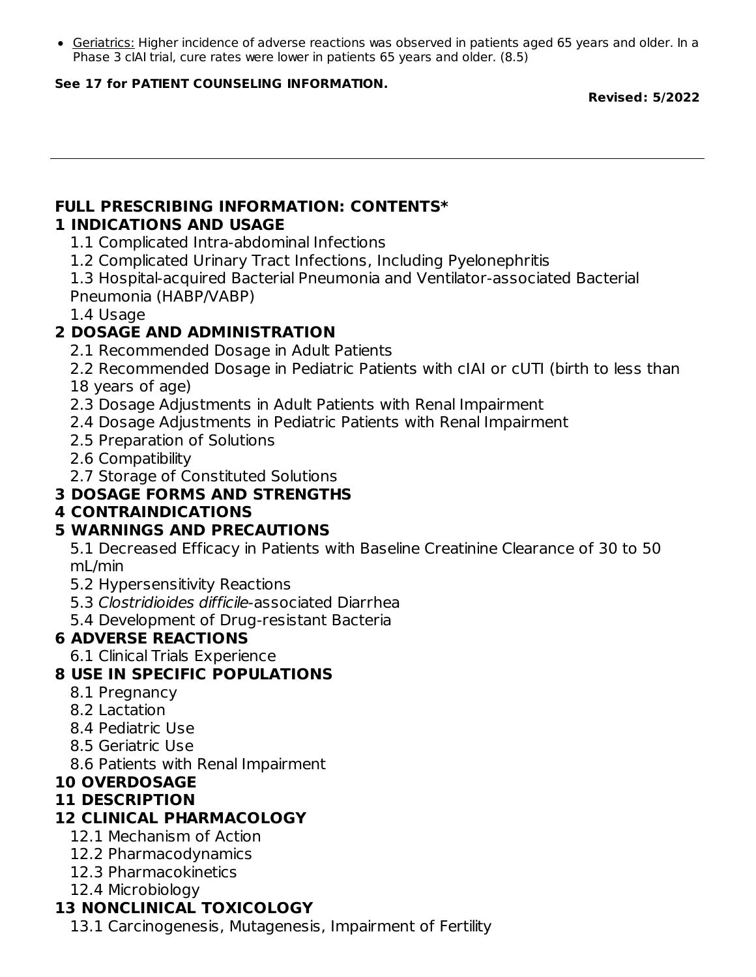Geriatrics: Higher incidence of adverse reactions was observed in patients aged 65 years and older. In a Phase 3 cIAI trial, cure rates were lower in patients 65 years and older. (8.5)

#### **See 17 for PATIENT COUNSELING INFORMATION.**

**Revised: 5/2022**

#### **FULL PRESCRIBING INFORMATION: CONTENTS\* 1 INDICATIONS AND USAGE**

1.1 Complicated Intra-abdominal Infections

1.2 Complicated Urinary Tract Infections, Including Pyelonephritis

1.3 Hospital-acquired Bacterial Pneumonia and Ventilator-associated Bacterial Pneumonia (HABP/VABP)

1.4 Usage

## **2 DOSAGE AND ADMINISTRATION**

2.1 Recommended Dosage in Adult Patients

2.2 Recommended Dosage in Pediatric Patients with cIAI or cUTI (birth to less than 18 years of age)

- 2.3 Dosage Adjustments in Adult Patients with Renal Impairment
- 2.4 Dosage Adjustments in Pediatric Patients with Renal Impairment
- 2.5 Preparation of Solutions
- 2.6 Compatibility
- 2.7 Storage of Constituted Solutions

### **3 DOSAGE FORMS AND STRENGTHS**

#### **4 CONTRAINDICATIONS**

### **5 WARNINGS AND PRECAUTIONS**

5.1 Decreased Efficacy in Patients with Baseline Creatinine Clearance of 30 to 50 mL/min

- 5.2 Hypersensitivity Reactions
- 5.3 Clostridioides difficile-associated Diarrhea
- 5.4 Development of Drug-resistant Bacteria

### **6 ADVERSE REACTIONS**

6.1 Clinical Trials Experience

### **8 USE IN SPECIFIC POPULATIONS**

- 8.1 Pregnancy
- 8.2 Lactation
- 8.4 Pediatric Use
- 8.5 Geriatric Use
- 8.6 Patients with Renal Impairment

### **10 OVERDOSAGE**

#### **11 DESCRIPTION**

### **12 CLINICAL PHARMACOLOGY**

- 12.1 Mechanism of Action
- 12.2 Pharmacodynamics
- 12.3 Pharmacokinetics
- 12.4 Microbiology

# **13 NONCLINICAL TOXICOLOGY**

13.1 Carcinogenesis, Mutagenesis, Impairment of Fertility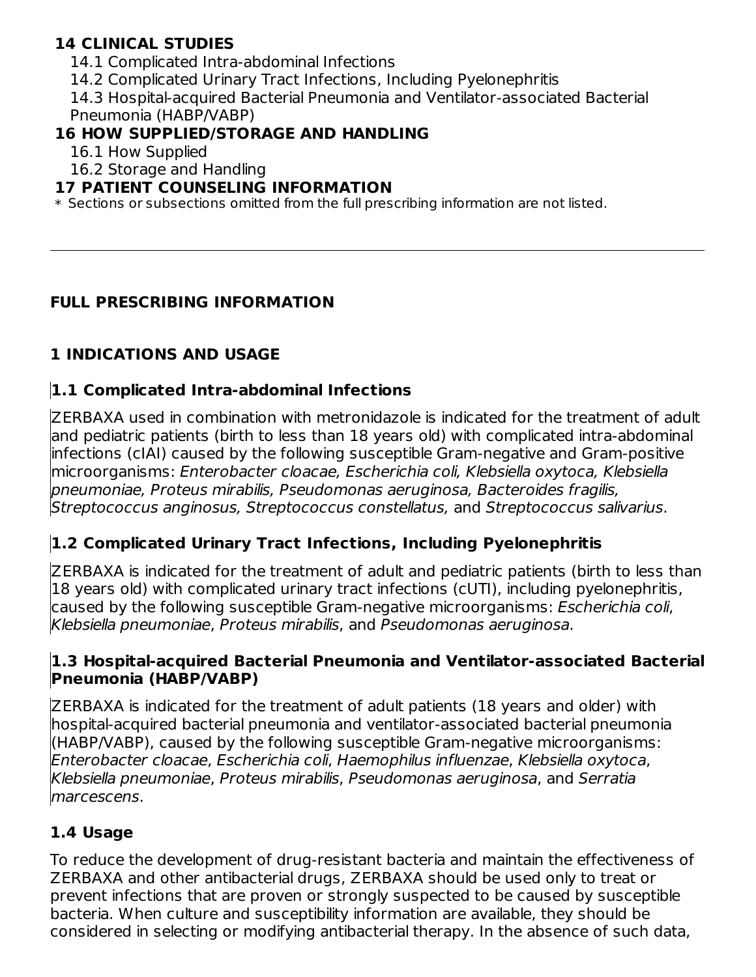#### **14 CLINICAL STUDIES**

- 14.1 Complicated Intra-abdominal Infections
- 14.2 Complicated Urinary Tract Infections, Including Pyelonephritis

14.3 Hospital-acquired Bacterial Pneumonia and Ventilator-associated Bacterial Pneumonia (HABP/VABP)

### **16 HOW SUPPLIED/STORAGE AND HANDLING**

16.1 How Supplied

16.2 Storage and Handling

#### **17 PATIENT COUNSELING INFORMATION**

 $\ast$  Sections or subsections omitted from the full prescribing information are not listed.

### **FULL PRESCRIBING INFORMATION**

# **1 INDICATIONS AND USAGE**

## **1.1 Complicated Intra-abdominal Infections**

ZERBAXA used in combination with metronidazole is indicated for the treatment of adult and pediatric patients (birth to less than 18 years old) with complicated intra-abdominal infections (cIAI) caused by the following susceptible Gram-negative and Gram-positive microorganisms: Enterobacter cloacae, Escherichia coli, Klebsiella oxytoca, Klebsiella pneumoniae, Proteus mirabilis, Pseudomonas aeruginosa, Bacteroides fragilis, Streptococcus anginosus, Streptococcus constellatus, and Streptococcus salivarius.

# **1.2 Complicated Urinary Tract Infections, Including Pyelonephritis**

ZERBAXA is indicated for the treatment of adult and pediatric patients (birth to less than 18 years old) with complicated urinary tract infections (cUTI), including pyelonephritis, caused by the following susceptible Gram-negative microorganisms: Escherichia coli, Klebsiella pneumoniae, Proteus mirabilis, and Pseudomonas aeruginosa.

#### **1.3 Hospital-acquired Bacterial Pneumonia and Ventilator-associated Bacterial Pneumonia (HABP/VABP)**

ZERBAXA is indicated for the treatment of adult patients (18 years and older) with hospital-acquired bacterial pneumonia and ventilator-associated bacterial pneumonia (HABP/VABP), caused by the following susceptible Gram-negative microorganisms: Enterobacter cloacae, Escherichia coli, Haemophilus influenzae, Klebsiella oxytoca, Klebsiella pneumoniae, Proteus mirabilis, Pseudomonas aeruginosa, and Serratia marcescens.

### **1.4 Usage**

To reduce the development of drug-resistant bacteria and maintain the effectiveness of ZERBAXA and other antibacterial drugs, ZERBAXA should be used only to treat or prevent infections that are proven or strongly suspected to be caused by susceptible bacteria. When culture and susceptibility information are available, they should be considered in selecting or modifying antibacterial therapy. In the absence of such data,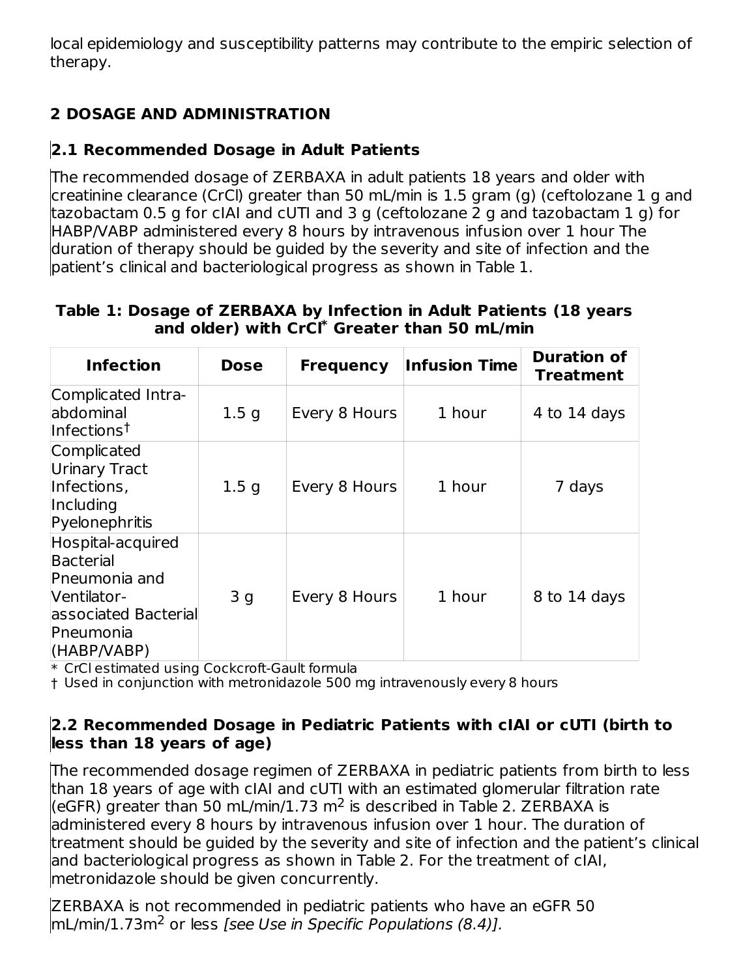local epidemiology and susceptibility patterns may contribute to the empiric selection of therapy.

# **2 DOSAGE AND ADMINISTRATION**

# **2.1 Recommended Dosage in Adult Patients**

The recommended dosage of ZERBAXA in adult patients 18 years and older with creatinine clearance (CrCl) greater than 50 mL/min is 1.5 gram (g) (ceftolozane 1 g and tazobactam 0.5 g for cIAI and cUTI and 3 g (ceftolozane 2 g and tazobactam 1 g) for HABP/VABP administered every 8 hours by intravenous infusion over 1 hour The duration of therapy should be guided by the severity and site of infection and the patient's clinical and bacteriological progress as shown in Table 1.

#### **Table 1: Dosage of ZERBAXA by Infection in Adult Patients (18 years and older) with CrCl Greater than 50 mL/min \***

| <b>Infection</b>                                                                                                   | <b>Dose</b>      | <b>Frequency</b> | <b>Infusion Time</b> | <b>Duration of</b><br><b>Treatment</b> |
|--------------------------------------------------------------------------------------------------------------------|------------------|------------------|----------------------|----------------------------------------|
| Complicated Intra-<br>abdominal<br>Infections <sup>†</sup>                                                         | 1.5 <sub>q</sub> | Every 8 Hours    | 1 hour               | 4 to 14 days                           |
| Complicated<br><b>Urinary Tract</b><br>Infections,<br>Including<br>Pyelonephritis                                  | 1.5 <sub>g</sub> | Every 8 Hours    | 1 hour               | 7 days                                 |
| Hospital-acquired<br>Bacterial<br>Pneumonia and<br>Ventilator-<br>associated Bacterial<br>Pneumonia<br>(HABP/VABP) | 3 <sub>q</sub>   | Every 8 Hours    | 1 hour               | 8 to 14 days                           |

\* CrCl estimated using Cockcroft-Gault formula

† Used in conjunction with metronidazole 500 mg intravenously every 8 hours

#### **2.2 Recommended Dosage in Pediatric Patients with cIAI or cUTI (birth to less than 18 years of age)**

The recommended dosage regimen of ZERBAXA in pediatric patients from birth to less than 18 years of age with cIAI and cUTI with an estimated glomerular filtration rate (eGFR) greater than 50 mL/min/1.73 m<sup>2</sup> is described in Table 2. ZERBAXA is administered every 8 hours by intravenous infusion over 1 hour. The duration of treatment should be guided by the severity and site of infection and the patient's clinical and bacteriological progress as shown in Table 2. For the treatment of cIAI, metronidazole should be given concurrently.

ZERBAXA is not recommended in pediatric patients who have an eGFR 50  $mL/min/1.73m<sup>2</sup>$  or less [see Use in Specific Populations (8.4)].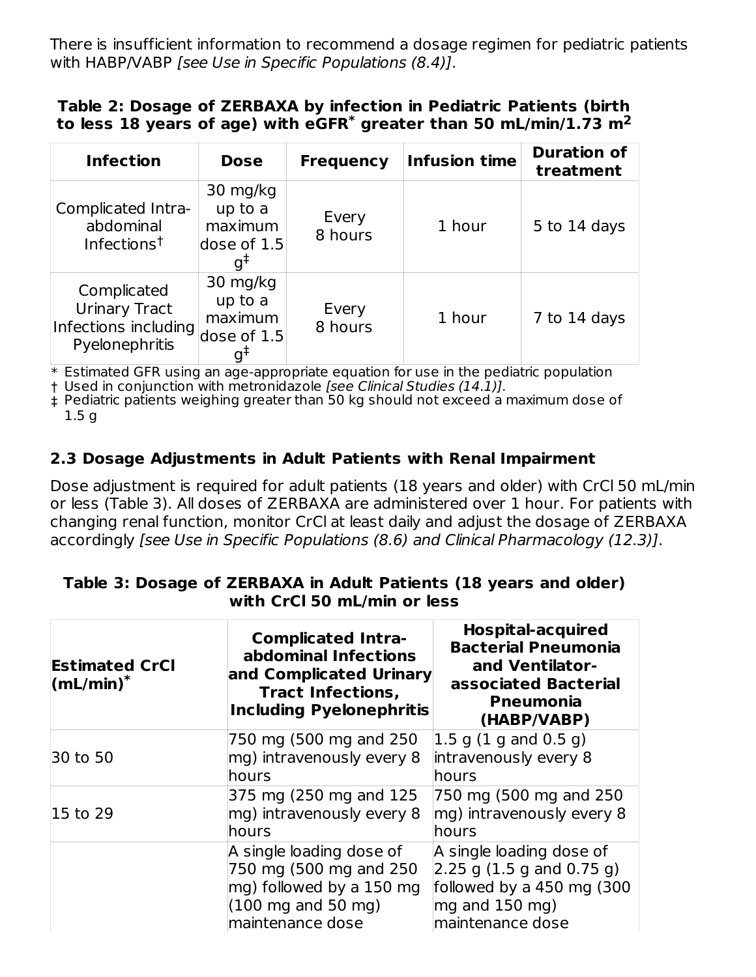There is insufficient information to recommend a dosage regimen for pediatric patients with HABP/VABP [see Use in Specific Populations (8.4)].

#### **Table 2: Dosage of ZERBAXA by infection in Pediatric Patients (birth to less 18 years of age) with eGFR greater than 50 mL/min/1.73 m \* 2**

| <b>Infection</b>                                                              | <b>Dose</b>                                                     | <b>Frequency</b> | <b>Infusion time</b> | <b>Duration of</b><br>treatment |
|-------------------------------------------------------------------------------|-----------------------------------------------------------------|------------------|----------------------|---------------------------------|
| Complicated Intra-<br>abdominal<br>Infections <sup>†</sup>                    | 30 mg/kg<br>up to a<br>maximum<br>dose of 1.5<br>q <sup>‡</sup> | Every<br>8 hours | 1 hour               | 5 to 14 days                    |
| Complicated<br><b>Urinary Tract</b><br>Infections including<br>Pyelonephritis | 30 mg/kg<br>up to a<br>maximum<br>dose of 1.5<br>$g^{\ddagger}$ | Every<br>8 hours | 1 hour               | 7 to 14 days                    |

 $\ast$  Estimated GFR using an age-appropriate equation for use in the pediatric population

† Used in conjunction with metronidazole [see Clinical Studies (14.1)].

‡ Pediatric patients weighing greater than 50 kg should not exceed a maximum dose of 1.5 g

### **2.3 Dosage Adjustments in Adult Patients with Renal Impairment**

Dose adjustment is required for adult patients (18 years and older) with CrCl 50 mL/min or less (Table 3). All doses of ZERBAXA are administered over 1 hour. For patients with changing renal function, monitor CrCl at least daily and adjust the dosage of ZERBAXA accordingly [see Use in Specific Populations (8.6) and Clinical Pharmacology (12.3)].

| <b>Estimated CrCl</b><br>$\mathsf{(mL/min)}^*$ | <b>Complicated Intra-</b><br>abdominal Infections<br>and Complicated Urinary<br><b>Tract Infections,</b><br><b>Including Pyelonephritis</b> | <b>Hospital-acquired</b><br><b>Bacterial Pneumonia</b><br>and Ventilator-<br>associated Bacterial<br>Pneumonia<br>(HABP/VABP)                                    |
|------------------------------------------------|---------------------------------------------------------------------------------------------------------------------------------------------|------------------------------------------------------------------------------------------------------------------------------------------------------------------|
| 30 to 50                                       | 750 mg (500 mg and 250<br>mg) intravenously every 8<br>hours                                                                                | $1.5$ g (1 g and 0.5 g)<br>intravenously every 8<br>hours                                                                                                        |
| 15 to 29                                       | 375 mg (250 mg and 125<br>mg) intravenously every 8<br>hours                                                                                | 750 mg (500 mg and 250<br>mg) intravenously every 8<br>hours                                                                                                     |
|                                                | A single loading dose of<br>750 mg (500 mg and 250<br>mg) followed by a 150 mg<br>$(100 \text{ mg}$ and 50 mg)<br>maintenance dose          | A single loading dose of<br>$(2.25 \text{ g} (1.5 \text{ g and } 0.75 \text{ g}))$<br>followed by a 450 mg (300<br>mg and $150 \text{ mg}$ )<br>maintenance dose |

#### **Table 3: Dosage of ZERBAXA in Adult Patients (18 years and older) with CrCl 50 mL/min or less**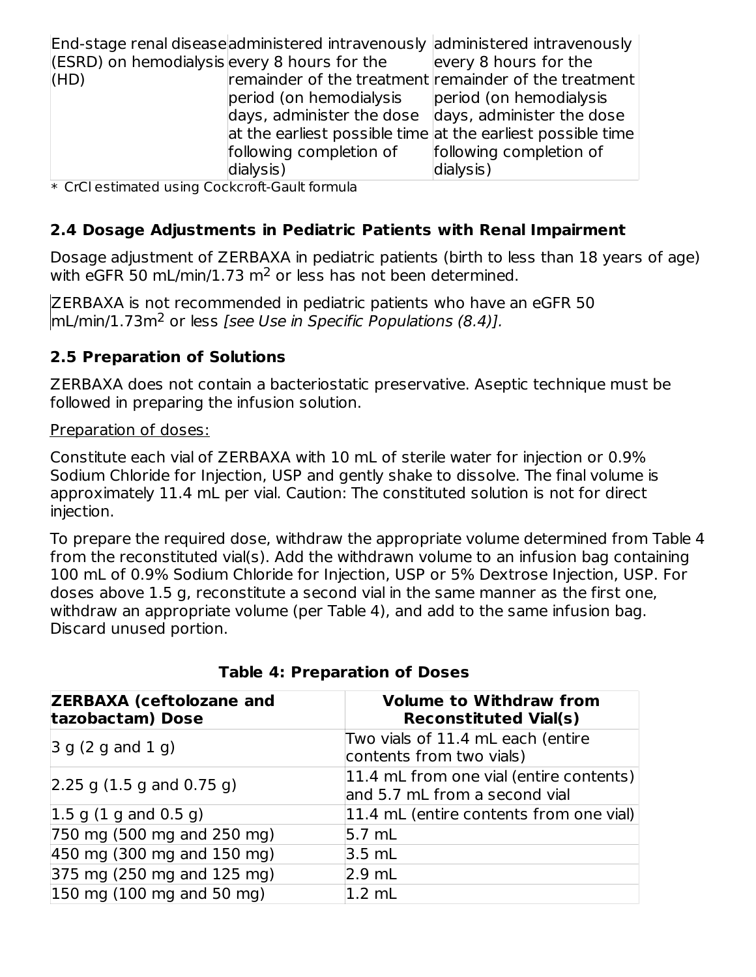|                                                  |                                                                       | End-stage renal disease administered intravenously administered intravenously |
|--------------------------------------------------|-----------------------------------------------------------------------|-------------------------------------------------------------------------------|
| $ $ (ESRD) on hemodialysis every 8 hours for the |                                                                       | every 8 hours for the                                                         |
| (HD)                                             |                                                                       | remainder of the treatment remainder of the treatment                         |
|                                                  | period (on hemodialysis                                               | period (on hemodialysis                                                       |
|                                                  | $\alpha$ days, administer the dose $\alpha$ days, administer the dose |                                                                               |
|                                                  |                                                                       | at the earliest possible time at the earliest possible time                   |
|                                                  | following completion of                                               | following completion of                                                       |
|                                                  | dialysis)                                                             | dialysis)                                                                     |

\* CrCl estimated using Cockcroft-Gault formula

#### **2.4 Dosage Adjustments in Pediatric Patients with Renal Impairment**

Dosage adjustment of ZERBAXA in pediatric patients (birth to less than 18 years of age) with eGFR 50 mL/min/1.73  $m^2$  or less has not been determined.

ZERBAXA is not recommended in pediatric patients who have an eGFR 50 mL/min/1.73m<sup>2</sup> or less [see Use in Specific Populations (8.4)].

#### **2.5 Preparation of Solutions**

ZERBAXA does not contain a bacteriostatic preservative. Aseptic technique must be followed in preparing the infusion solution.

Preparation of doses:

Constitute each vial of ZERBAXA with 10 mL of sterile water for injection or 0.9% Sodium Chloride for Injection, USP and gently shake to dissolve. The final volume is approximately 11.4 mL per vial. Caution: The constituted solution is not for direct injection.

To prepare the required dose, withdraw the appropriate volume determined from Table 4 from the reconstituted vial(s). Add the withdrawn volume to an infusion bag containing 100 mL of 0.9% Sodium Chloride for Injection, USP or 5% Dextrose Injection, USP. For doses above 1.5 g, reconstitute a second vial in the same manner as the first one, withdraw an appropriate volume (per Table 4), and add to the same infusion bag. Discard unused portion.

| <b>ZERBAXA (ceftolozane and</b><br>tazobactam) Dose | <b>Volume to Withdraw from</b><br><b>Reconstituted Vial(s)</b>           |
|-----------------------------------------------------|--------------------------------------------------------------------------|
| 3 g (2 g and 1 g)                                   | Two vials of 11.4 mL each (entire<br>contents from two vials)            |
| $\left  2.25 \right $ g (1.5 g and 0.75 g)          | 11.4 mL from one vial (entire contents)<br>and 5.7 mL from a second vial |
| 1.5 g(1 g and 0.5 g)                                | 11.4 mL (entire contents from one vial)                                  |
| 750 mg (500 mg and 250 mg)                          | 5.7 mL                                                                   |
| 450 mg (300 mg and 150 mg)                          | $3.5$ mL                                                                 |
| $ 375 \text{ mg}$ (250 mg and 125 mg)               | $2.9$ mL                                                                 |
| $150$ mg (100 mg and 50 mg)                         | $1.2 \text{ mL}$                                                         |

#### **Table 4: Preparation of Doses**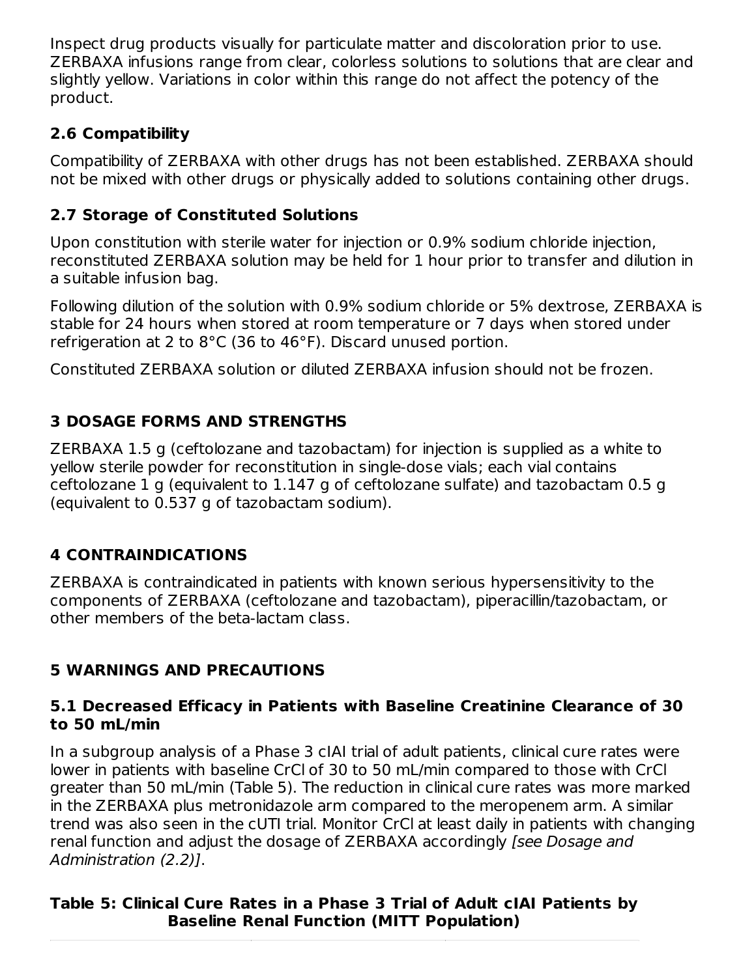Inspect drug products visually for particulate matter and discoloration prior to use. ZERBAXA infusions range from clear, colorless solutions to solutions that are clear and slightly yellow. Variations in color within this range do not affect the potency of the product.

## **2.6 Compatibility**

Compatibility of ZERBAXA with other drugs has not been established. ZERBAXA should not be mixed with other drugs or physically added to solutions containing other drugs.

# **2.7 Storage of Constituted Solutions**

Upon constitution with sterile water for injection or 0.9% sodium chloride injection, reconstituted ZERBAXA solution may be held for 1 hour prior to transfer and dilution in a suitable infusion bag.

Following dilution of the solution with 0.9% sodium chloride or 5% dextrose, ZERBAXA is stable for 24 hours when stored at room temperature or 7 days when stored under refrigeration at 2 to 8°C (36 to 46°F). Discard unused portion.

Constituted ZERBAXA solution or diluted ZERBAXA infusion should not be frozen.

# **3 DOSAGE FORMS AND STRENGTHS**

ZERBAXA 1.5 g (ceftolozane and tazobactam) for injection is supplied as a white to yellow sterile powder for reconstitution in single-dose vials; each vial contains ceftolozane 1 g (equivalent to 1.147 g of ceftolozane sulfate) and tazobactam 0.5 g (equivalent to 0.537 g of tazobactam sodium).

# **4 CONTRAINDICATIONS**

ZERBAXA is contraindicated in patients with known serious hypersensitivity to the components of ZERBAXA (ceftolozane and tazobactam), piperacillin/tazobactam, or other members of the beta-lactam class.

# **5 WARNINGS AND PRECAUTIONS**

#### **5.1 Decreased Efficacy in Patients with Baseline Creatinine Clearance of 30 to 50 mL/min**

In a subgroup analysis of a Phase 3 cIAI trial of adult patients, clinical cure rates were lower in patients with baseline CrCl of 30 to 50 mL/min compared to those with CrCl greater than 50 mL/min (Table 5). The reduction in clinical cure rates was more marked in the ZERBAXA plus metronidazole arm compared to the meropenem arm. A similar trend was also seen in the cUTI trial. Monitor CrCl at least daily in patients with changing renal function and adjust the dosage of ZERBAXA accordingly [see Dosage and Administration (2.2)].

## **Table 5: Clinical Cure Rates in a Phase 3 Trial of Adult cIAI Patients by Baseline Renal Function (MITT Population)**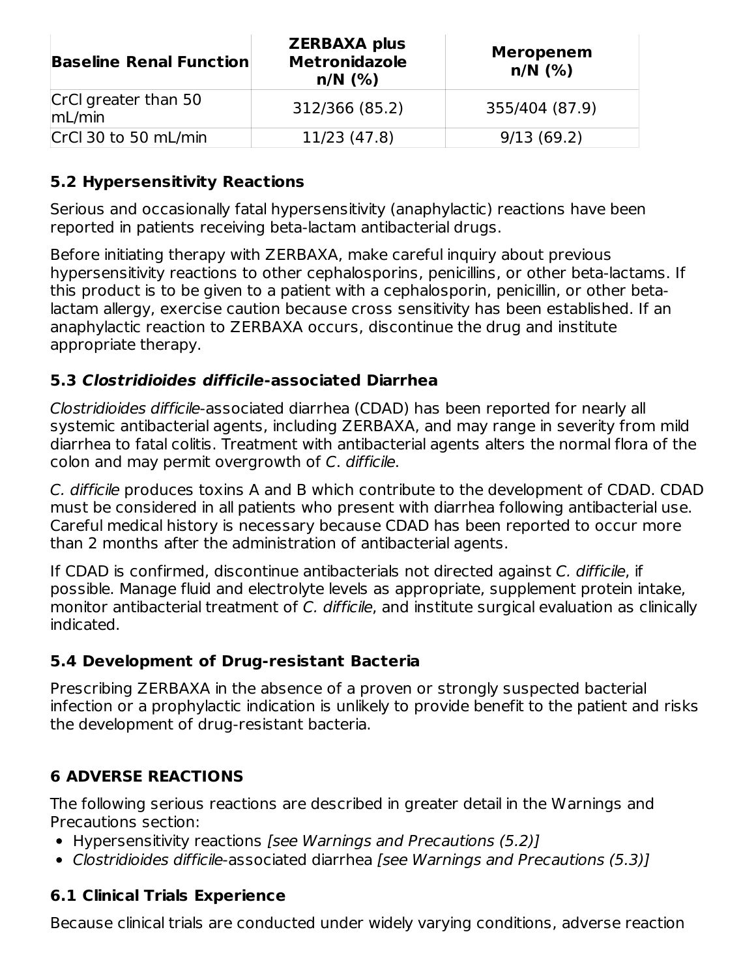| <b>Baseline Renal Function</b> | <b>ZERBAXA plus</b><br><b>Metronidazole</b><br>$n/N$ (%) | <b>Meropenem</b><br>$n/N$ (%) |
|--------------------------------|----------------------------------------------------------|-------------------------------|
| CrCl greater than 50<br>mL/min | 312/366 (85.2)                                           | 355/404 (87.9)                |
| CrCl 30 to 50 mL/min           | 11/23 (47.8)                                             | 9/13(69.2)                    |

#### **5.2 Hypersensitivity Reactions**

Serious and occasionally fatal hypersensitivity (anaphylactic) reactions have been reported in patients receiving beta-lactam antibacterial drugs.

Before initiating therapy with ZERBAXA, make careful inquiry about previous hypersensitivity reactions to other cephalosporins, penicillins, or other beta-lactams. If this product is to be given to a patient with a cephalosporin, penicillin, or other betalactam allergy, exercise caution because cross sensitivity has been established. If an anaphylactic reaction to ZERBAXA occurs, discontinue the drug and institute appropriate therapy.

#### **5.3 Clostridioides difficile-associated Diarrhea**

Clostridioides difficile-associated diarrhea (CDAD) has been reported for nearly all systemic antibacterial agents, including ZERBAXA, and may range in severity from mild diarrhea to fatal colitis. Treatment with antibacterial agents alters the normal flora of the colon and may permit overgrowth of C. difficile.

C. difficile produces toxins A and B which contribute to the development of CDAD. CDAD must be considered in all patients who present with diarrhea following antibacterial use. Careful medical history is necessary because CDAD has been reported to occur more than 2 months after the administration of antibacterial agents.

If CDAD is confirmed, discontinue antibacterials not directed against C. difficile, if possible. Manage fluid and electrolyte levels as appropriate, supplement protein intake, monitor antibacterial treatment of C. difficile, and institute surgical evaluation as clinically indicated.

#### **5.4 Development of Drug-resistant Bacteria**

Prescribing ZERBAXA in the absence of a proven or strongly suspected bacterial infection or a prophylactic indication is unlikely to provide benefit to the patient and risks the development of drug-resistant bacteria.

### **6 ADVERSE REACTIONS**

The following serious reactions are described in greater detail in the Warnings and Precautions section:

- Hypersensitivity reactions [see Warnings and Precautions (5.2)]
- Clostridioides difficile-associated diarrhea [see Warnings and Precautions (5.3)]

### **6.1 Clinical Trials Experience**

Because clinical trials are conducted under widely varying conditions, adverse reaction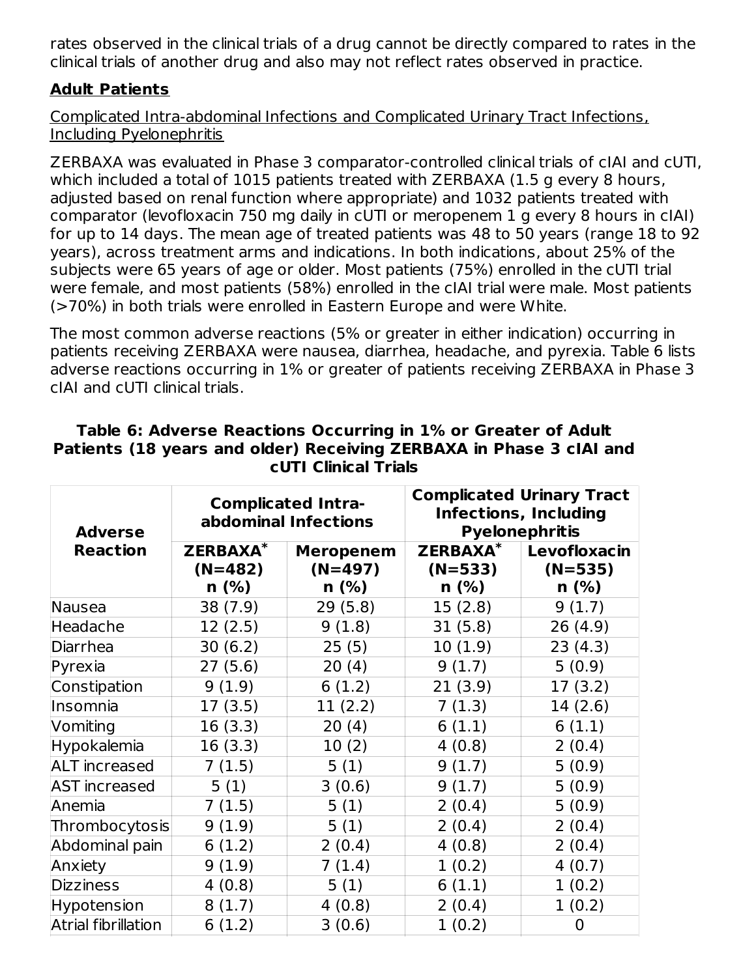rates observed in the clinical trials of a drug cannot be directly compared to rates in the clinical trials of another drug and also may not reflect rates observed in practice.

### **Adult Patients**

Complicated Intra-abdominal Infections and Complicated Urinary Tract Infections, Including Pyelonephritis

ZERBAXA was evaluated in Phase 3 comparator-controlled clinical trials of cIAI and cUTI, which included a total of 1015 patients treated with ZERBAXA (1.5 g every 8 hours, adjusted based on renal function where appropriate) and 1032 patients treated with comparator (levofloxacin 750 mg daily in cUTI or meropenem 1 g every 8 hours in cIAI) for up to 14 days. The mean age of treated patients was 48 to 50 years (range 18 to 92 years), across treatment arms and indications. In both indications, about 25% of the subjects were 65 years of age or older. Most patients (75%) enrolled in the cUTI trial were female, and most patients (58%) enrolled in the cIAI trial were male. Most patients (>70%) in both trials were enrolled in Eastern Europe and were White.

The most common adverse reactions (5% or greater in either indication) occurring in patients receiving ZERBAXA were nausea, diarrhea, headache, and pyrexia. Table 6 lists adverse reactions occurring in 1% or greater of patients receiving ZERBAXA in Phase 3 cIAI and cUTI clinical trials.

| <b>Adverse</b>       | <b>Complicated Intra-</b><br>abdominal Infections |                               | <b>Complicated Urinary Tract</b><br><b>Infections, Including</b><br><b>Pyelonephritis</b> |                           |
|----------------------|---------------------------------------------------|-------------------------------|-------------------------------------------------------------------------------------------|---------------------------|
| <b>Reaction</b>      | <b>ZERBAXA*</b><br>$(N=482)$                      | <b>Meropenem</b><br>$(N=497)$ | <b>ZERBAXA*</b><br>$(N=533)$                                                              | Levofloxacin<br>$(N=535)$ |
|                      | n(%)                                              | $n$ (%)                       | $n$ (%)                                                                                   | $n$ (%)                   |
| Nausea               | 38 (7.9)                                          | 29(5.8)                       | 15(2.8)                                                                                   | 9(1.7)                    |
| Headache             | 12(2.5)                                           | 9(1.8)                        | 31(5.8)                                                                                   | 26 (4.9)                  |
| Diarrhea             | 30(6.2)                                           | 25(5)                         | 10(1.9)                                                                                   | 23(4.3)                   |
| Pyrexia              | 27(5.6)                                           | 20(4)                         | 9(1.7)                                                                                    | 5(0.9)                    |
| Constipation         | 9(1.9)                                            | 6(1.2)                        | 21(3.9)                                                                                   | 17(3.2)                   |
| Insomnia             | 17 (3.5)                                          | 11(2.2)                       | 7(1.3)                                                                                    | 14(2.6)                   |
| Vomiting             | 16(3.3)                                           | 20(4)                         | 6(1.1)                                                                                    | 6(1.1)                    |
| Hypokalemia          | 16 (3.3)                                          | 10(2)                         | 4(0.8)                                                                                    | 2(0.4)                    |
| <b>ALT</b> increased | 7(1.5)                                            | 5(1)                          | 9(1.7)                                                                                    | 5(0.9)                    |
| <b>AST</b> increased | 5(1)                                              | 3(0.6)                        | 9(1.7)                                                                                    | 5(0.9)                    |
| Anemia               | 7(1.5)                                            | 5(1)                          | 2(0.4)                                                                                    | 5(0.9)                    |
| Thrombocytosis       | 9(1.9)                                            | 5(1)                          | 2(0.4)                                                                                    | 2(0.4)                    |
| Abdominal pain       | 6(1.2)                                            | 2(0.4)                        | 4(0.8)                                                                                    | 2(0.4)                    |
| Anxiety              | 9(1.9)                                            | 7(1.4)                        | 1(0.2)                                                                                    | 4(0.7)                    |
| <b>Dizziness</b>     | 4(0.8)                                            | 5(1)                          | 6(1.1)                                                                                    | 1(0.2)                    |
| Hypotension          | 8(1.7)                                            | 4(0.8)                        | 2(0.4)                                                                                    | 1(0.2)                    |
| Atrial fibrillation  | 6(1.2)                                            | 3(0.6)                        | 1(0.2)                                                                                    | 0                         |

#### **Table 6: Adverse Reactions Occurring in 1% or Greater of Adult Patients (18 years and older) Receiving ZERBAXA in Phase 3 cIAI and cUTI Clinical Trials**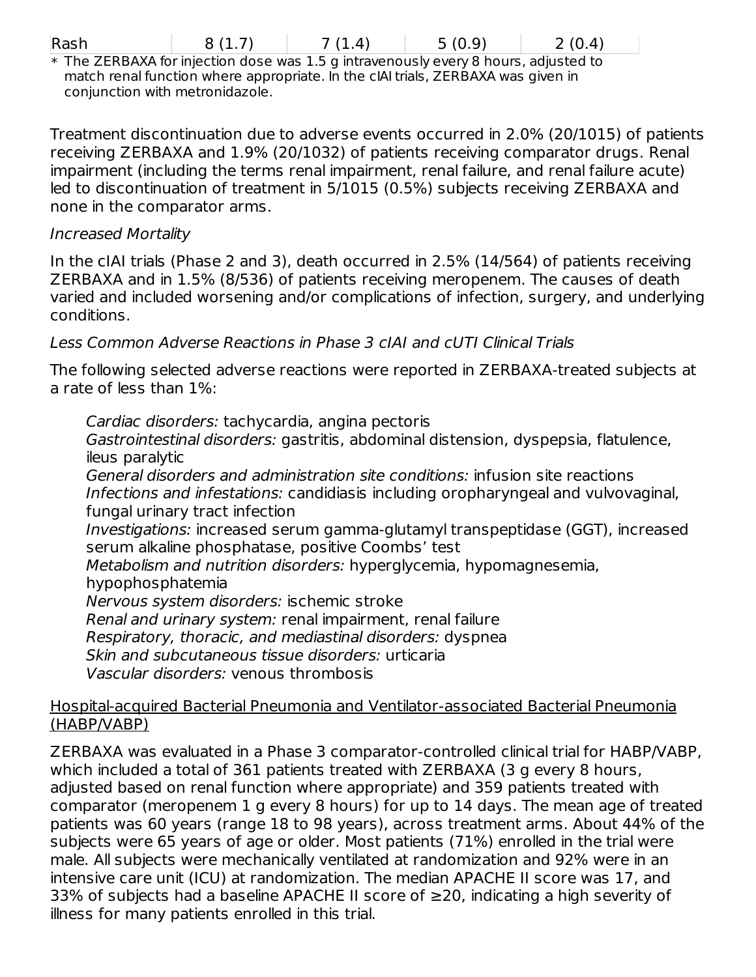| × |
|---|

| Rash | 8(1.7) | 7(1.4) | 5(0.9) | 2(0.4) |
|------|--------|--------|--------|--------|
|------|--------|--------|--------|--------|

\* The ZERBAXA for injection dose was 1.5 g intravenously every 8 hours, adjusted to match renal function where appropriate. In the cIAI trials, ZERBAXA was given in conjunction with metronidazole.

Treatment discontinuation due to adverse events occurred in 2.0% (20/1015) of patients receiving ZERBAXA and 1.9% (20/1032) of patients receiving comparator drugs. Renal impairment (including the terms renal impairment, renal failure, and renal failure acute) led to discontinuation of treatment in 5/1015 (0.5%) subjects receiving ZERBAXA and none in the comparator arms.

#### Increased Mortality

In the cIAI trials (Phase 2 and 3), death occurred in 2.5% (14/564) of patients receiving ZERBAXA and in 1.5% (8/536) of patients receiving meropenem. The causes of death varied and included worsening and/or complications of infection, surgery, and underlying conditions.

### Less Common Adverse Reactions in Phase 3 cIAI and cUTI Clinical Trials

The following selected adverse reactions were reported in ZERBAXA-treated subjects at a rate of less than 1%:

Cardiac disorders: tachycardia, angina pectoris Gastrointestinal disorders: gastritis, abdominal distension, dyspepsia, flatulence, ileus paralytic General disorders and administration site conditions: infusion site reactions Infections and infestations: candidiasis including oropharyngeal and vulvovaginal, fungal urinary tract infection Investigations: increased serum gamma-glutamyl transpeptidase (GGT), increased serum alkaline phosphatase, positive Coombs' test Metabolism and nutrition disorders: hyperglycemia, hypomagnesemia, hypophosphatemia Nervous system disorders: ischemic stroke Renal and urinary system: renal impairment, renal failure Respiratory, thoracic, and mediastinal disorders: dyspnea Skin and subcutaneous tissue disorders: urticaria Vascular disorders: venous thrombosis

#### Hospital-acquired Bacterial Pneumonia and Ventilator-associated Bacterial Pneumonia (HABP/VABP)

ZERBAXA was evaluated in a Phase 3 comparator-controlled clinical trial for HABP/VABP, which included a total of 361 patients treated with ZERBAXA (3 g every 8 hours, adjusted based on renal function where appropriate) and 359 patients treated with comparator (meropenem 1 g every 8 hours) for up to 14 days. The mean age of treated patients was 60 years (range 18 to 98 years), across treatment arms. About 44% of the subjects were 65 years of age or older. Most patients (71%) enrolled in the trial were male. All subjects were mechanically ventilated at randomization and 92% were in an intensive care unit (ICU) at randomization. The median APACHE II score was 17, and 33% of subjects had a baseline APACHE II score of ≥20, indicating a high severity of illness for many patients enrolled in this trial.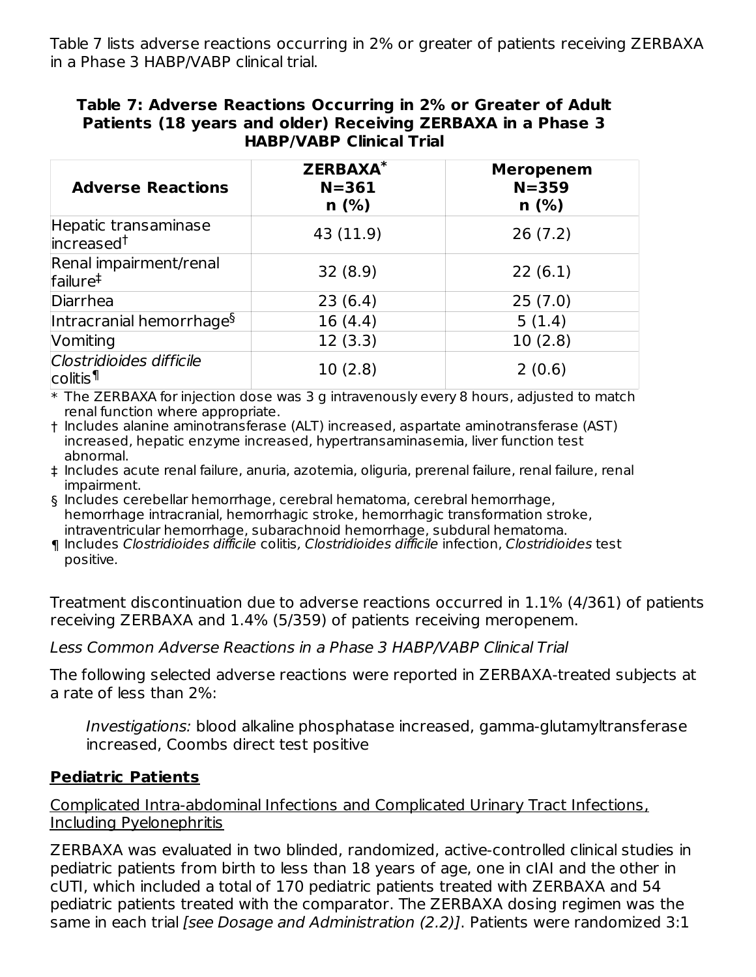Table 7 lists adverse reactions occurring in 2% or greater of patients receiving ZERBAXA in a Phase 3 HABP/VABP clinical trial.

#### **Table 7: Adverse Reactions Occurring in 2% or Greater of Adult Patients (18 years and older) Receiving ZERBAXA in a Phase 3 HABP/VABP Clinical Trial**

| <b>Adverse Reactions</b>                         | <b>ZERBAXA*</b><br>$N = 361$<br>$n$ (%) | <b>Meropenem</b><br>$N = 359$<br>$n$ (%) |
|--------------------------------------------------|-----------------------------------------|------------------------------------------|
| Hepatic transaminase<br>increased <sup>†</sup>   | 43 (11.9)                               | 26(7.2)                                  |
| Renal impairment/renal<br>failure <sup>‡</sup>   | 32(8.9)                                 | 22(6.1)                                  |
| Diarrhea                                         | 23(6.4)                                 | 25(7.0)                                  |
| Intracranial hemorrhage <sup>§</sup>             | 16(4.4)                                 | 5(1.4)                                   |
| Vomiting                                         | 12(3.3)                                 | 10(2.8)                                  |
| Clostridioides difficile<br>colitis <sup>¶</sup> | 10(2.8)                                 | 2(0.6)                                   |

\* The ZERBAXA for injection dose was 3 g intravenously every 8 hours, adjusted to match renal function where appropriate.

† Includes alanine aminotransferase (ALT) increased, aspartate aminotransferase (AST) increased, hepatic enzyme increased, hypertransaminasemia, liver function test abnormal.

‡ Includes acute renal failure, anuria, azotemia, oliguria, prerenal failure, renal failure, renal impairment.

§ Includes cerebellar hemorrhage, cerebral hematoma, cerebral hemorrhage, hemorrhage intracranial, hemorrhagic stroke, hemorrhagic transformation stroke, intraventricular hemorrhage, subarachnoid hemorrhage, subdural hematoma.

¶ Includes Clostridioides difficile colitis, Clostridioides difficile infection, Clostridioides test positive.

Treatment discontinuation due to adverse reactions occurred in 1.1% (4/361) of patients receiving ZERBAXA and 1.4% (5/359) of patients receiving meropenem.

Less Common Adverse Reactions in a Phase 3 HABP/VABP Clinical Trial

The following selected adverse reactions were reported in ZERBAXA-treated subjects at a rate of less than 2%:

Investigations: blood alkaline phosphatase increased, gamma-glutamyltransferase increased, Coombs direct test positive

#### **Pediatric Patients**

Complicated Intra-abdominal Infections and Complicated Urinary Tract Infections, Including Pyelonephritis

ZERBAXA was evaluated in two blinded, randomized, active-controlled clinical studies in pediatric patients from birth to less than 18 years of age, one in cIAI and the other in cUTI, which included a total of 170 pediatric patients treated with ZERBAXA and 54 pediatric patients treated with the comparator. The ZERBAXA dosing regimen was the same in each trial [see Dosage and Administration (2.2)]. Patients were randomized 3:1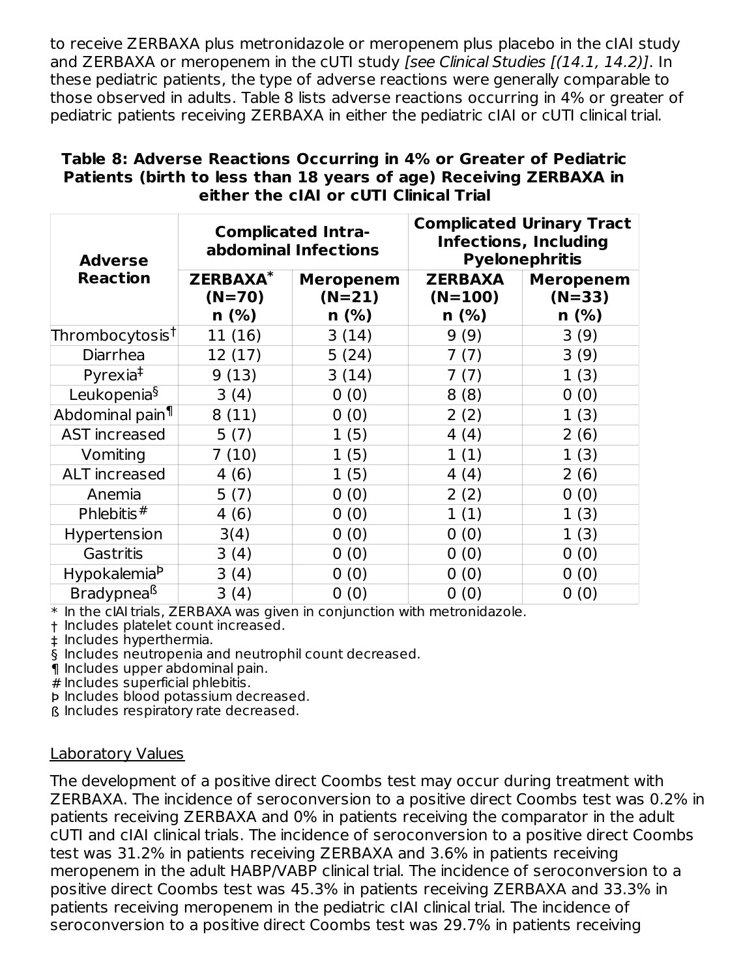to receive ZERBAXA plus metronidazole or meropenem plus placebo in the cIAI study and ZERBAXA or meropenem in the cUTI study [see Clinical Studies [(14.1, 14.2)]. In these pediatric patients, the type of adverse reactions were generally comparable to those observed in adults. Table 8 lists adverse reactions occurring in 4% or greater of pediatric patients receiving ZERBAXA in either the pediatric cIAI or cUTI clinical trial.

#### **Table 8: Adverse Reactions Occurring in 4% or Greater of Pediatric Patients (birth to less than 18 years of age) Receiving ZERBAXA in either the cIAI or cUTI Clinical Trial**

| <b>Adverse</b>              |                                        | <b>Complicated Intra-</b><br>abdominal Infections |                                        | <b>Complicated Urinary Tract</b><br><b>Infections, Including</b><br><b>Pyelonephritis</b> |
|-----------------------------|----------------------------------------|---------------------------------------------------|----------------------------------------|-------------------------------------------------------------------------------------------|
| <b>Reaction</b>             | <b>ZERBAXA*</b><br>$(N=70)$<br>$n$ (%) | <b>Meropenem</b><br>$(N=21)$<br>$n$ (%)           | <b>ZERBAXA</b><br>$(N=100)$<br>$n$ (%) | <b>Meropenem</b><br>$(N=33)$<br>$n$ (%)                                                   |
| Thrombocytosis†             | 11 (16)                                | 3(14)                                             | 9(9)                                   | 3(9)                                                                                      |
| Diarrhea                    | 12(17)                                 | 5(24)                                             | 7(7)                                   | 3(9)                                                                                      |
| Pyrexia <sup>‡</sup>        | 9(13)                                  | 3(14)                                             | 7(7)                                   | 1(3)                                                                                      |
| Leukopenia <sup>§</sup>     | 3(4)                                   | 0(0)                                              | 8(8)                                   | 0(0)                                                                                      |
| Abdominal pain <sup>1</sup> | 8(11)                                  | 0(0)                                              | 2(2)                                   | 1(3)                                                                                      |
| AST increased               | 5(7)                                   | 1(5)                                              | 4 (4)                                  | 2(6)                                                                                      |
| Vomiting                    | 7(10)                                  | 1(5)                                              | 1(1)                                   | 1(3)                                                                                      |
| ALT increased               | 4(6)                                   | 1(5)                                              | 4(4)                                   | 2(6)                                                                                      |
| Anemia                      | 5(7)                                   | 0(0)                                              | 2(2)                                   | 0(0)                                                                                      |
| Phlebitis $#$               | 4(6)                                   | 0(0)                                              | 1(1)                                   | 1(3)                                                                                      |
| Hypertension                | 3(4)                                   | 0(0)                                              | 0(0)                                   | 1 (3)                                                                                     |
| Gastritis                   | 3(4)                                   | 0(0)                                              | 0(0)                                   | 0(0)                                                                                      |
| Hypokalemia <sup>b</sup>    | 3(4)                                   | 0(0)                                              | 0(0)                                   | 0(0)                                                                                      |
| Bradypnea <sup>ß</sup>      | 3(4)                                   | 0(0)                                              | 0(0)                                   | 0(0)                                                                                      |

 $\ast$  In the cIAI trials, ZERBAXA was given in conjunction with metronidazole.

† Includes platelet count increased.

‡ Includes hyperthermia.

§ Includes neutropenia and neutrophil count decreased.

¶ Includes upper abdominal pain.

# Includes superficial phlebitis.

Þ Includes blood potassium decreased.

ß Includes respiratory rate decreased.

#### Laboratory Values

The development of a positive direct Coombs test may occur during treatment with ZERBAXA. The incidence of seroconversion to a positive direct Coombs test was 0.2% in patients receiving ZERBAXA and 0% in patients receiving the comparator in the adult cUTI and cIAI clinical trials. The incidence of seroconversion to a positive direct Coombs test was 31.2% in patients receiving ZERBAXA and 3.6% in patients receiving meropenem in the adult HABP/VABP clinical trial. The incidence of seroconversion to a positive direct Coombs test was 45.3% in patients receiving ZERBAXA and 33.3% in patients receiving meropenem in the pediatric cIAI clinical trial. The incidence of seroconversion to a positive direct Coombs test was 29.7% in patients receiving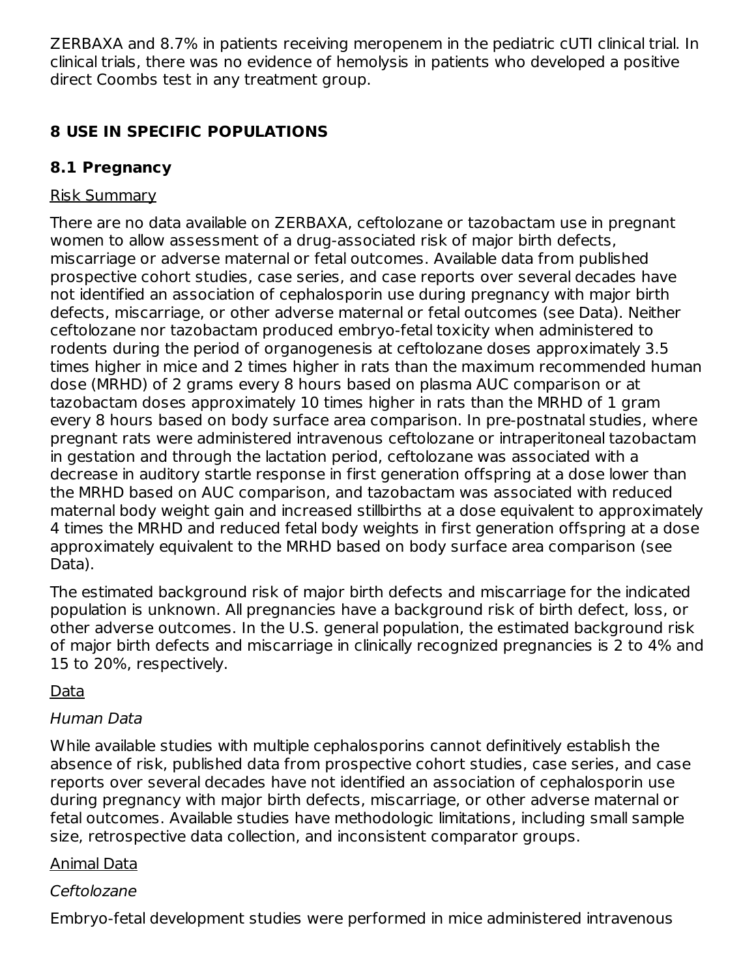ZERBAXA and 8.7% in patients receiving meropenem in the pediatric cUTI clinical trial. In clinical trials, there was no evidence of hemolysis in patients who developed a positive direct Coombs test in any treatment group.

# **8 USE IN SPECIFIC POPULATIONS**

# **8.1 Pregnancy**

# Risk Summary

There are no data available on ZERBAXA, ceftolozane or tazobactam use in pregnant women to allow assessment of a drug-associated risk of major birth defects, miscarriage or adverse maternal or fetal outcomes. Available data from published prospective cohort studies, case series, and case reports over several decades have not identified an association of cephalosporin use during pregnancy with major birth defects, miscarriage, or other adverse maternal or fetal outcomes (see Data). Neither ceftolozane nor tazobactam produced embryo-fetal toxicity when administered to rodents during the period of organogenesis at ceftolozane doses approximately 3.5 times higher in mice and 2 times higher in rats than the maximum recommended human dose (MRHD) of 2 grams every 8 hours based on plasma AUC comparison or at tazobactam doses approximately 10 times higher in rats than the MRHD of 1 gram every 8 hours based on body surface area comparison. In pre-postnatal studies, where pregnant rats were administered intravenous ceftolozane or intraperitoneal tazobactam in gestation and through the lactation period, ceftolozane was associated with a decrease in auditory startle response in first generation offspring at a dose lower than the MRHD based on AUC comparison, and tazobactam was associated with reduced maternal body weight gain and increased stillbirths at a dose equivalent to approximately 4 times the MRHD and reduced fetal body weights in first generation offspring at a dose approximately equivalent to the MRHD based on body surface area comparison (see Data).

The estimated background risk of major birth defects and miscarriage for the indicated population is unknown. All pregnancies have a background risk of birth defect, loss, or other adverse outcomes. In the U.S. general population, the estimated background risk of major birth defects and miscarriage in clinically recognized pregnancies is 2 to 4% and 15 to 20%, respectively.

# Data

# Human Data

While available studies with multiple cephalosporins cannot definitively establish the absence of risk, published data from prospective cohort studies, case series, and case reports over several decades have not identified an association of cephalosporin use during pregnancy with major birth defects, miscarriage, or other adverse maternal or fetal outcomes. Available studies have methodologic limitations, including small sample size, retrospective data collection, and inconsistent comparator groups.

### Animal Data

# Ceftolozane

Embryo-fetal development studies were performed in mice administered intravenous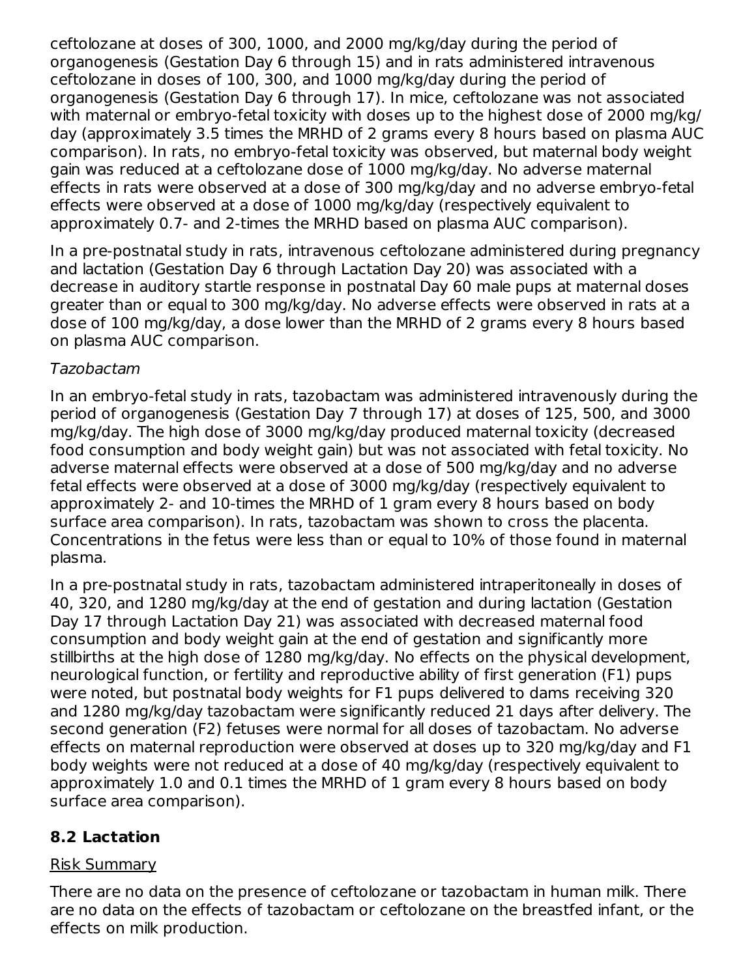ceftolozane at doses of 300, 1000, and 2000 mg/kg/day during the period of organogenesis (Gestation Day 6 through 15) and in rats administered intravenous ceftolozane in doses of 100, 300, and 1000 mg/kg/day during the period of organogenesis (Gestation Day 6 through 17). In mice, ceftolozane was not associated with maternal or embryo-fetal toxicity with doses up to the highest dose of 2000 mg/kg/ day (approximately 3.5 times the MRHD of 2 grams every 8 hours based on plasma AUC comparison). In rats, no embryo-fetal toxicity was observed, but maternal body weight gain was reduced at a ceftolozane dose of 1000 mg/kg/day. No adverse maternal effects in rats were observed at a dose of 300 mg/kg/day and no adverse embryo-fetal effects were observed at a dose of 1000 mg/kg/day (respectively equivalent to approximately 0.7- and 2-times the MRHD based on plasma AUC comparison).

In a pre-postnatal study in rats, intravenous ceftolozane administered during pregnancy and lactation (Gestation Day 6 through Lactation Day 20) was associated with a decrease in auditory startle response in postnatal Day 60 male pups at maternal doses greater than or equal to 300 mg/kg/day. No adverse effects were observed in rats at a dose of 100 mg/kg/day, a dose lower than the MRHD of 2 grams every 8 hours based on plasma AUC comparison.

#### Tazobactam

In an embryo-fetal study in rats, tazobactam was administered intravenously during the period of organogenesis (Gestation Day 7 through 17) at doses of 125, 500, and 3000 mg/kg/day. The high dose of 3000 mg/kg/day produced maternal toxicity (decreased food consumption and body weight gain) but was not associated with fetal toxicity. No adverse maternal effects were observed at a dose of 500 mg/kg/day and no adverse fetal effects were observed at a dose of 3000 mg/kg/day (respectively equivalent to approximately 2- and 10-times the MRHD of 1 gram every 8 hours based on body surface area comparison). In rats, tazobactam was shown to cross the placenta. Concentrations in the fetus were less than or equal to 10% of those found in maternal plasma.

In a pre-postnatal study in rats, tazobactam administered intraperitoneally in doses of 40, 320, and 1280 mg/kg/day at the end of gestation and during lactation (Gestation Day 17 through Lactation Day 21) was associated with decreased maternal food consumption and body weight gain at the end of gestation and significantly more stillbirths at the high dose of 1280 mg/kg/day. No effects on the physical development, neurological function, or fertility and reproductive ability of first generation (F1) pups were noted, but postnatal body weights for F1 pups delivered to dams receiving 320 and 1280 mg/kg/day tazobactam were significantly reduced 21 days after delivery. The second generation (F2) fetuses were normal for all doses of tazobactam. No adverse effects on maternal reproduction were observed at doses up to 320 mg/kg/day and F1 body weights were not reduced at a dose of 40 mg/kg/day (respectively equivalent to approximately 1.0 and 0.1 times the MRHD of 1 gram every 8 hours based on body surface area comparison).

# **8.2 Lactation**

### Risk Summary

There are no data on the presence of ceftolozane or tazobactam in human milk. There are no data on the effects of tazobactam or ceftolozane on the breastfed infant, or the effects on milk production.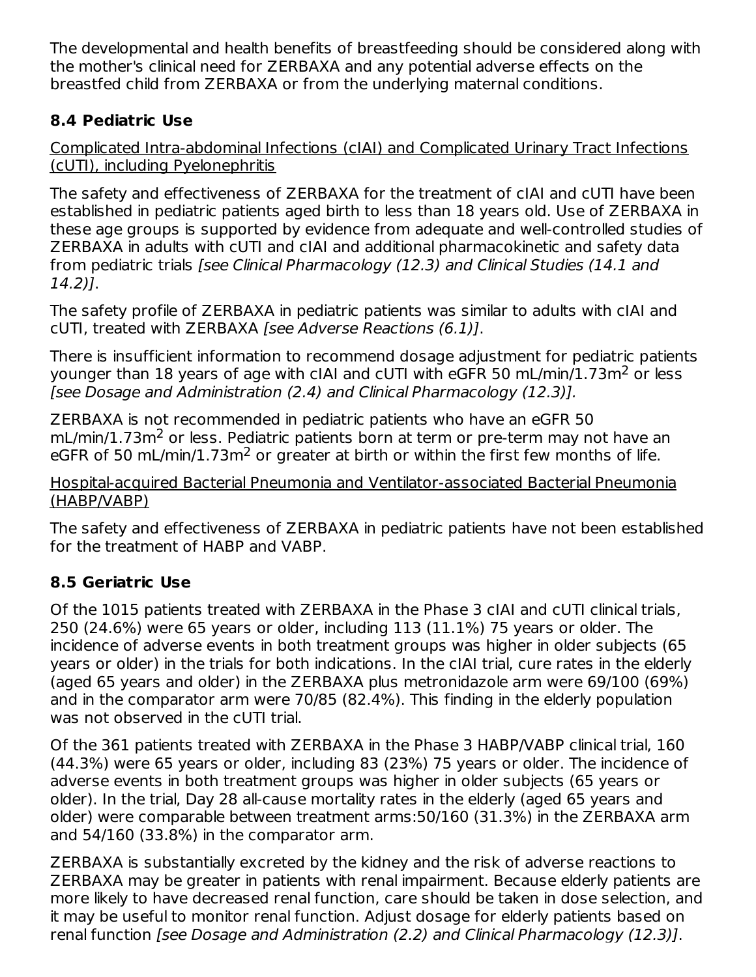The developmental and health benefits of breastfeeding should be considered along with the mother's clinical need for ZERBAXA and any potential adverse effects on the breastfed child from ZERBAXA or from the underlying maternal conditions.

# **8.4 Pediatric Use**

Complicated Intra-abdominal Infections (cIAI) and Complicated Urinary Tract Infections (cUTI), including Pyelonephritis

The safety and effectiveness of ZERBAXA for the treatment of cIAI and cUTI have been established in pediatric patients aged birth to less than 18 years old. Use of ZERBAXA in these age groups is supported by evidence from adequate and well-controlled studies of ZERBAXA in adults with cUTI and cIAI and additional pharmacokinetic and safety data from pediatric trials [see Clinical Pharmacology (12.3) and Clinical Studies (14.1 and 14.2)].

The safety profile of ZERBAXA in pediatric patients was similar to adults with cIAI and cUTI, treated with ZERBAXA [see Adverse Reactions (6.1)].

There is insufficient information to recommend dosage adjustment for pediatric patients younger than 18 years of age with cIAI and cUTI with eGFR 50 mL/min/1.73m<sup>2</sup> or less [see Dosage and Administration (2.4) and Clinical Pharmacology (12.3)].

ZERBAXA is not recommended in pediatric patients who have an eGFR 50 mL/min/1.73m<sup>2</sup> or less. Pediatric patients born at term or pre-term may not have an eGFR of 50 mL/min/1.73m<sup>2</sup> or greater at birth or within the first few months of life.

Hospital-acquired Bacterial Pneumonia and Ventilator-associated Bacterial Pneumonia (HABP/VABP)

The safety and effectiveness of ZERBAXA in pediatric patients have not been established for the treatment of HABP and VABP.

# **8.5 Geriatric Use**

Of the 1015 patients treated with ZERBAXA in the Phase 3 cIAI and cUTI clinical trials, 250 (24.6%) were 65 years or older, including 113 (11.1%) 75 years or older. The incidence of adverse events in both treatment groups was higher in older subjects (65 years or older) in the trials for both indications. In the cIAI trial, cure rates in the elderly (aged 65 years and older) in the ZERBAXA plus metronidazole arm were 69/100 (69%) and in the comparator arm were 70/85 (82.4%). This finding in the elderly population was not observed in the cUTI trial.

Of the 361 patients treated with ZERBAXA in the Phase 3 HABP/VABP clinical trial, 160 (44.3%) were 65 years or older, including 83 (23%) 75 years or older. The incidence of adverse events in both treatment groups was higher in older subjects (65 years or older). In the trial, Day 28 all-cause mortality rates in the elderly (aged 65 years and older) were comparable between treatment arms:50/160 (31.3%) in the ZERBAXA arm and 54/160 (33.8%) in the comparator arm.

ZERBAXA is substantially excreted by the kidney and the risk of adverse reactions to ZERBAXA may be greater in patients with renal impairment. Because elderly patients are more likely to have decreased renal function, care should be taken in dose selection, and it may be useful to monitor renal function. Adjust dosage for elderly patients based on renal function [see Dosage and Administration (2.2) and Clinical Pharmacology (12.3)].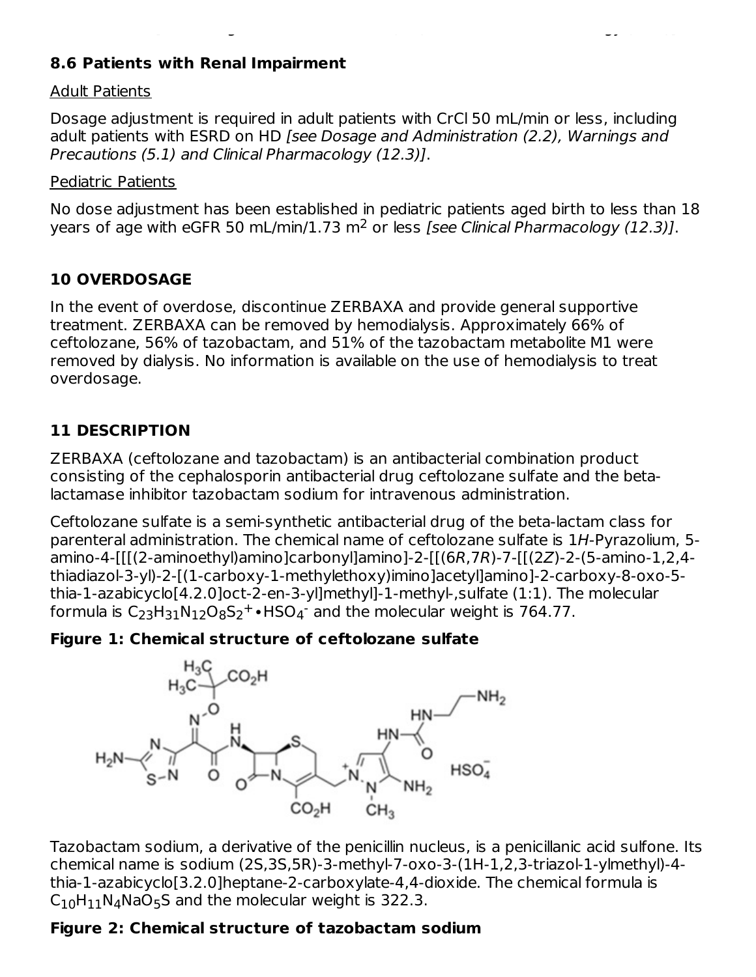#### **8.6 Patients with Renal Impairment**

#### Adult Patients

Dosage adjustment is required in adult patients with CrCl 50 mL/min or less, including adult patients with ESRD on HD [see Dosage and Administration (2.2), Warnings and Precautions (5.1) and Clinical Pharmacology (12.3)].

renal function [see Dosage and Administration (2.2) and Clinical Pharmacology (12.3)].

#### Pediatric Patients

No dose adjustment has been established in pediatric patients aged birth to less than 18 years of age with eGFR 50 mL/min/1.73 m<sup>2</sup> or less [see Clinical Pharmacology (12.3)].

#### **10 OVERDOSAGE**

In the event of overdose, discontinue ZERBAXA and provide general supportive treatment. ZERBAXA can be removed by hemodialysis. Approximately 66% of ceftolozane, 56% of tazobactam, and 51% of the tazobactam metabolite M1 were removed by dialysis. No information is available on the use of hemodialysis to treat overdosage.

#### **11 DESCRIPTION**

ZERBAXA (ceftolozane and tazobactam) is an antibacterial combination product consisting of the cephalosporin antibacterial drug ceftolozane sulfate and the betalactamase inhibitor tazobactam sodium for intravenous administration.

Ceftolozane sulfate is a semi-synthetic antibacterial drug of the beta-lactam class for parenteral administration. The chemical name of ceftolozane sulfate is 1H-Pyrazolium, 5 amino-4-[[[(2-aminoethyl)amino]carbonyl]amino]-2-[[(6R,7R)-7-[[(2Z)-2-(5-amino-1,2,4 thiadiazol-3-yl)-2-[(1-carboxy-1-methylethoxy)imino]acetyl]amino]-2-carboxy-8-oxo-5 thia-1-azabicyclo[4.2.0]oct-2-en-3-yl]methyl]-1-methyl-,sulfate (1:1). The molecular formula is  $C_{23}H_{31}N_{12}O_8S_2^+$ •HSO<sub>4</sub><sup>-</sup> and the molecular weight is 764.77.

#### **Figure 1: Chemical structure of ceftolozane sulfate**



Tazobactam sodium, a derivative of the penicillin nucleus, is a penicillanic acid sulfone. Its chemical name is sodium (2S,3S,5R)-3-methyl-7-oxo-3-(1H-1,2,3-triazol-1-ylmethyl)-4 thia-1-azabicyclo[3.2.0]heptane-2-carboxylate-4,4-dioxide. The chemical formula is  $\mathsf{C}_{10}\mathsf{H}_{11}\mathsf{N}_{4}\mathsf{NaO}_{5}\mathsf{S}$  and the molecular weight is 322.3.

#### **Figure 2: Chemical structure of tazobactam sodium**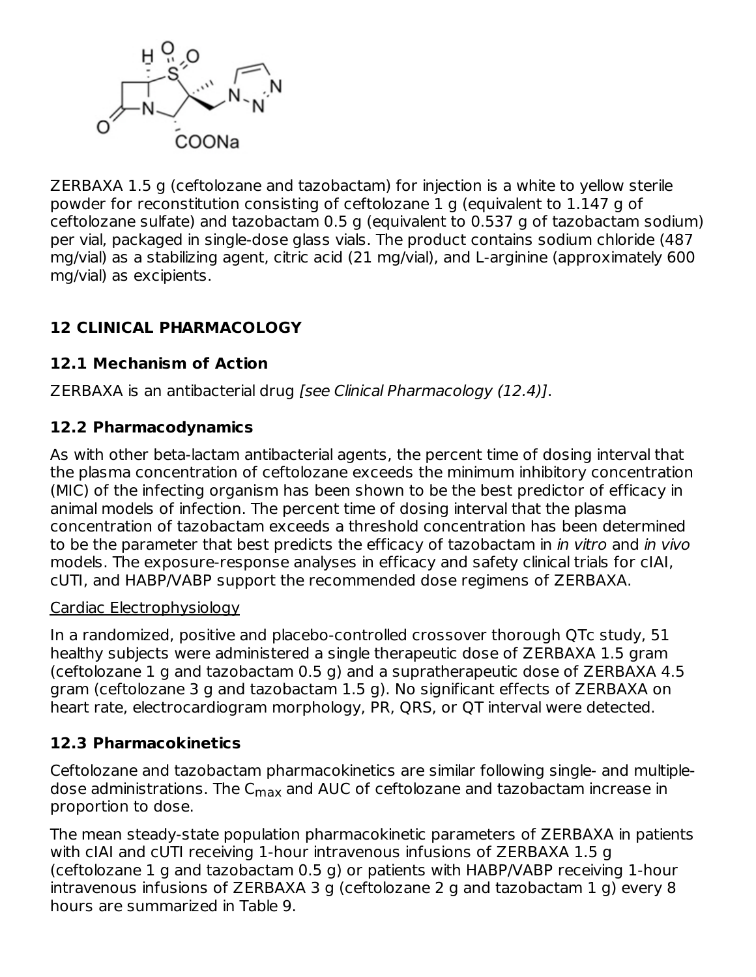

ZERBAXA 1.5 g (ceftolozane and tazobactam) for injection is a white to yellow sterile powder for reconstitution consisting of ceftolozane 1 g (equivalent to 1.147 g of ceftolozane sulfate) and tazobactam 0.5 g (equivalent to 0.537 g of tazobactam sodium) per vial, packaged in single-dose glass vials. The product contains sodium chloride (487 mg/vial) as a stabilizing agent, citric acid (21 mg/vial), and L-arginine (approximately 600 mg/vial) as excipients.

# **12 CLINICAL PHARMACOLOGY**

### **12.1 Mechanism of Action**

ZERBAXA is an antibacterial drug [see Clinical Pharmacology (12.4)].

### **12.2 Pharmacodynamics**

As with other beta-lactam antibacterial agents, the percent time of dosing interval that the plasma concentration of ceftolozane exceeds the minimum inhibitory concentration (MIC) of the infecting organism has been shown to be the best predictor of efficacy in animal models of infection. The percent time of dosing interval that the plasma concentration of tazobactam exceeds a threshold concentration has been determined to be the parameter that best predicts the efficacy of tazobactam in *in vitro* and *in vivo* models. The exposure-response analyses in efficacy and safety clinical trials for cIAI, cUTI, and HABP/VABP support the recommended dose regimens of ZERBAXA.

#### Cardiac Electrophysiology

In a randomized, positive and placebo-controlled crossover thorough QTc study, 51 healthy subjects were administered a single therapeutic dose of ZERBAXA 1.5 gram (ceftolozane 1 g and tazobactam 0.5 g) and a supratherapeutic dose of ZERBAXA 4.5 gram (ceftolozane 3 g and tazobactam 1.5 g). No significant effects of ZERBAXA on heart rate, electrocardiogram morphology, PR, QRS, or QT interval were detected.

### **12.3 Pharmacokinetics**

Ceftolozane and tazobactam pharmacokinetics are similar following single- and multipledose administrations. The C<sub>max</sub> and AUC of ceftolozane and tazobactam increase in proportion to dose.

The mean steady-state population pharmacokinetic parameters of ZERBAXA in patients with cIAI and cUTI receiving 1-hour intravenous infusions of ZERBAXA 1.5 g (ceftolozane 1 g and tazobactam 0.5 g) or patients with HABP/VABP receiving 1-hour intravenous infusions of ZERBAXA 3 g (ceftolozane 2 g and tazobactam 1 g) every 8 hours are summarized in Table 9.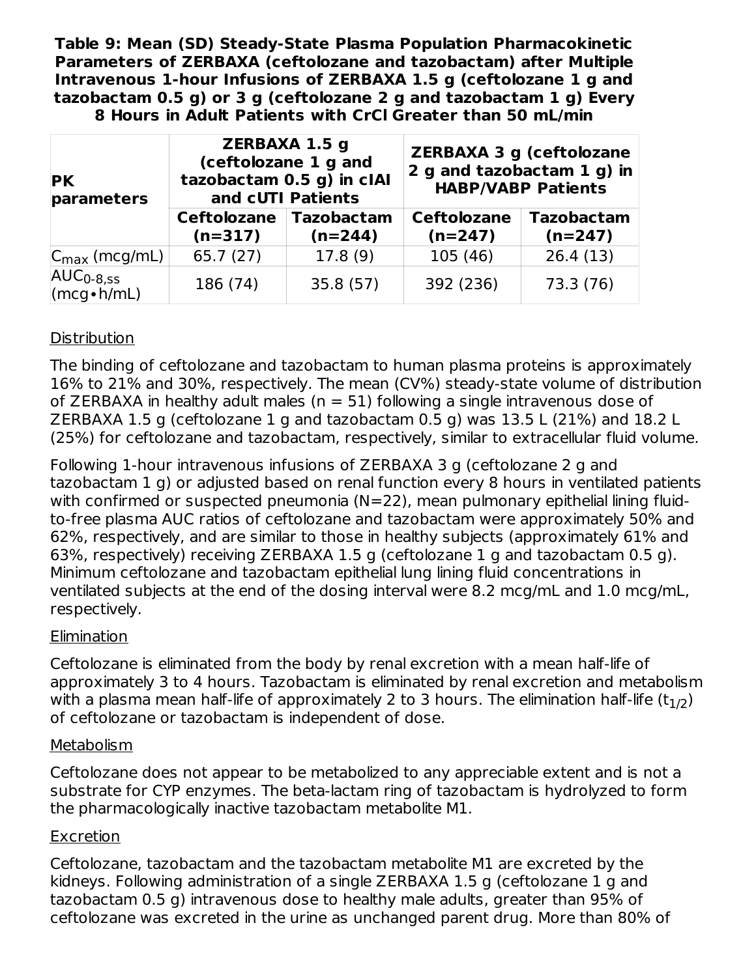**Table 9: Mean (SD) Steady-State Plasma Population Pharmacokinetic Parameters of ZERBAXA (ceftolozane and tazobactam) after Multiple Intravenous 1-hour Infusions of ZERBAXA 1.5 g (ceftolozane 1 g and tazobactam 0.5 g) or 3 g (ceftolozane 2 g and tazobactam 1 g) Every 8 Hours in Adult Patients with CrCl Greater than 50 mL/min**

| <b>PK</b><br>parameters   |                                 | <b>ZERBAXA 1.5 g</b><br>(ceftolozane 1 g and<br>tazobactam 0.5 g) in cIAI<br>and cUTI Patients |                                 | <b>ZERBAXA 3 g (ceftolozane</b><br>2 g and tazobactam 1 g) in<br><b>HABP/VABP Patients</b> |  |
|---------------------------|---------------------------------|------------------------------------------------------------------------------------------------|---------------------------------|--------------------------------------------------------------------------------------------|--|
|                           | <b>Ceftolozane</b><br>$(n=317)$ | <b>Tazobactam</b><br>$(n=244)$                                                                 | <b>Ceftolozane</b><br>$(n=247)$ | <b>Tazobactam</b><br>$(n=247)$                                                             |  |
| $C_{\text{max}}$ (mcg/mL) | 65.7(27)                        | 17.8(9)                                                                                        | 105(46)                         | 26.4(13)                                                                                   |  |
| $AUC0-8,ss$<br>(mcg•h/mL) | 186 (74)                        | 35.8(57)                                                                                       | 392 (236)                       | 73.3 (76)                                                                                  |  |

### **Distribution**

The binding of ceftolozane and tazobactam to human plasma proteins is approximately 16% to 21% and 30%, respectively. The mean (CV%) steady-state volume of distribution of ZERBAXA in healthy adult males ( $n = 51$ ) following a single intravenous dose of ZERBAXA 1.5 g (ceftolozane 1 g and tazobactam 0.5 g) was 13.5 L (21%) and 18.2 L (25%) for ceftolozane and tazobactam, respectively, similar to extracellular fluid volume.

Following 1-hour intravenous infusions of ZERBAXA 3 g (ceftolozane 2 g and tazobactam 1 g) or adjusted based on renal function every 8 hours in ventilated patients with confirmed or suspected pneumonia (N=22), mean pulmonary epithelial lining fluidto-free plasma AUC ratios of ceftolozane and tazobactam were approximately 50% and 62%, respectively, and are similar to those in healthy subjects (approximately 61% and 63%, respectively) receiving ZERBAXA 1.5 g (ceftolozane 1 g and tazobactam 0.5 g). Minimum ceftolozane and tazobactam epithelial lung lining fluid concentrations in ventilated subjects at the end of the dosing interval were 8.2 mcg/mL and 1.0 mcg/mL, respectively.

#### **Elimination**

Ceftolozane is eliminated from the body by renal excretion with a mean half-life of approximately 3 to 4 hours. Tazobactam is eliminated by renal excretion and metabolism with a plasma mean half-life of approximately 2 to 3 hours. The elimination half-life (t $_{\rm 1/2})$ of ceftolozane or tazobactam is independent of dose.

#### **Metabolism**

Ceftolozane does not appear to be metabolized to any appreciable extent and is not a substrate for CYP enzymes. The beta-lactam ring of tazobactam is hydrolyzed to form the pharmacologically inactive tazobactam metabolite M1.

#### Excretion

Ceftolozane, tazobactam and the tazobactam metabolite M1 are excreted by the kidneys. Following administration of a single ZERBAXA 1.5 g (ceftolozane 1 g and tazobactam 0.5 g) intravenous dose to healthy male adults, greater than 95% of ceftolozane was excreted in the urine as unchanged parent drug. More than 80% of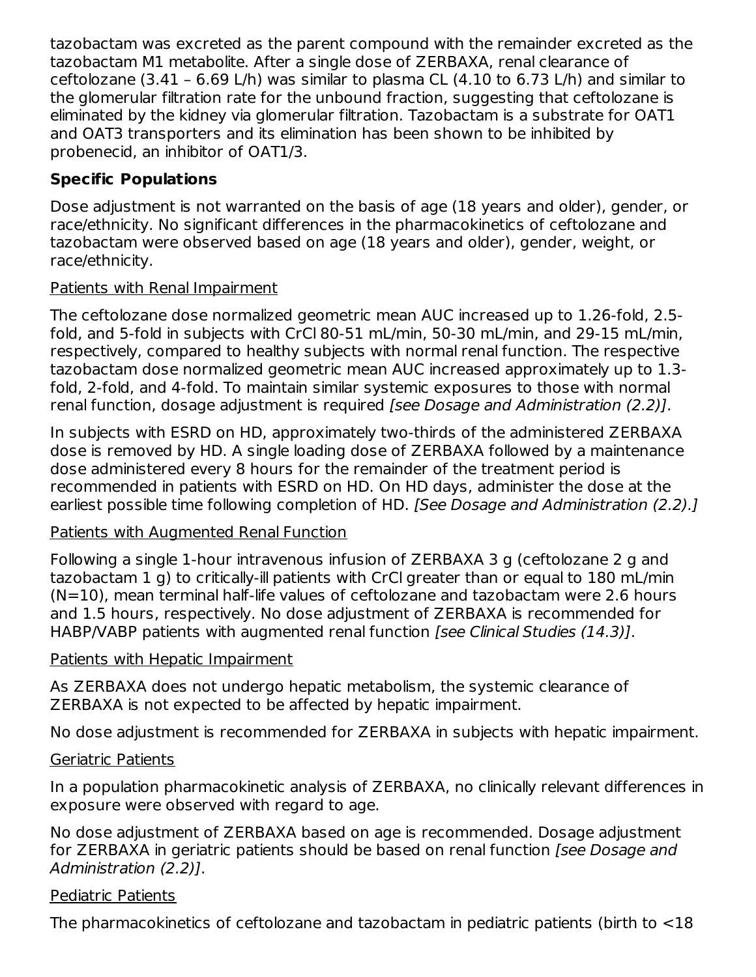tazobactam was excreted as the parent compound with the remainder excreted as the tazobactam M1 metabolite. After a single dose of ZERBAXA, renal clearance of ceftolozane (3.41 – 6.69 L/h) was similar to plasma CL (4.10 to 6.73 L/h) and similar to the glomerular filtration rate for the unbound fraction, suggesting that ceftolozane is eliminated by the kidney via glomerular filtration. Tazobactam is a substrate for OAT1 and OAT3 transporters and its elimination has been shown to be inhibited by probenecid, an inhibitor of OAT1/3.

## **Specific Populations**

Dose adjustment is not warranted on the basis of age (18 years and older), gender, or race/ethnicity. No significant differences in the pharmacokinetics of ceftolozane and tazobactam were observed based on age (18 years and older), gender, weight, or race/ethnicity.

#### Patients with Renal Impairment

The ceftolozane dose normalized geometric mean AUC increased up to 1.26-fold, 2.5 fold, and 5-fold in subjects with CrCl 80-51 mL/min, 50-30 mL/min, and 29-15 mL/min, respectively, compared to healthy subjects with normal renal function. The respective tazobactam dose normalized geometric mean AUC increased approximately up to 1.3 fold, 2-fold, and 4-fold. To maintain similar systemic exposures to those with normal renal function, dosage adjustment is required *[see Dosage and Administration (2.2)]*.

In subjects with ESRD on HD, approximately two-thirds of the administered ZERBAXA dose is removed by HD. A single loading dose of ZERBAXA followed by a maintenance dose administered every 8 hours for the remainder of the treatment period is recommended in patients with ESRD on HD. On HD days, administer the dose at the earliest possible time following completion of HD. [See Dosage and Administration (2.2).]

### Patients with Augmented Renal Function

Following a single 1-hour intravenous infusion of ZERBAXA 3 g (ceftolozane 2 g and tazobactam 1 g) to critically-ill patients with CrCl greater than or equal to 180 mL/min  $(N=10)$ , mean terminal half-life values of ceftolozane and tazobactam were 2.6 hours and 1.5 hours, respectively. No dose adjustment of ZERBAXA is recommended for HABP/VABP patients with augmented renal function [see Clinical Studies (14.3)].

### Patients with Hepatic Impairment

As ZERBAXA does not undergo hepatic metabolism, the systemic clearance of ZERBAXA is not expected to be affected by hepatic impairment.

No dose adjustment is recommended for ZERBAXA in subjects with hepatic impairment.

### Geriatric Patients

In a population pharmacokinetic analysis of ZERBAXA, no clinically relevant differences in exposure were observed with regard to age.

No dose adjustment of ZERBAXA based on age is recommended. Dosage adjustment for ZERBAXA in geriatric patients should be based on renal function (see Dosage and Administration (2.2)].

### Pediatric Patients

The pharmacokinetics of ceftolozane and tazobactam in pediatric patients (birth to <18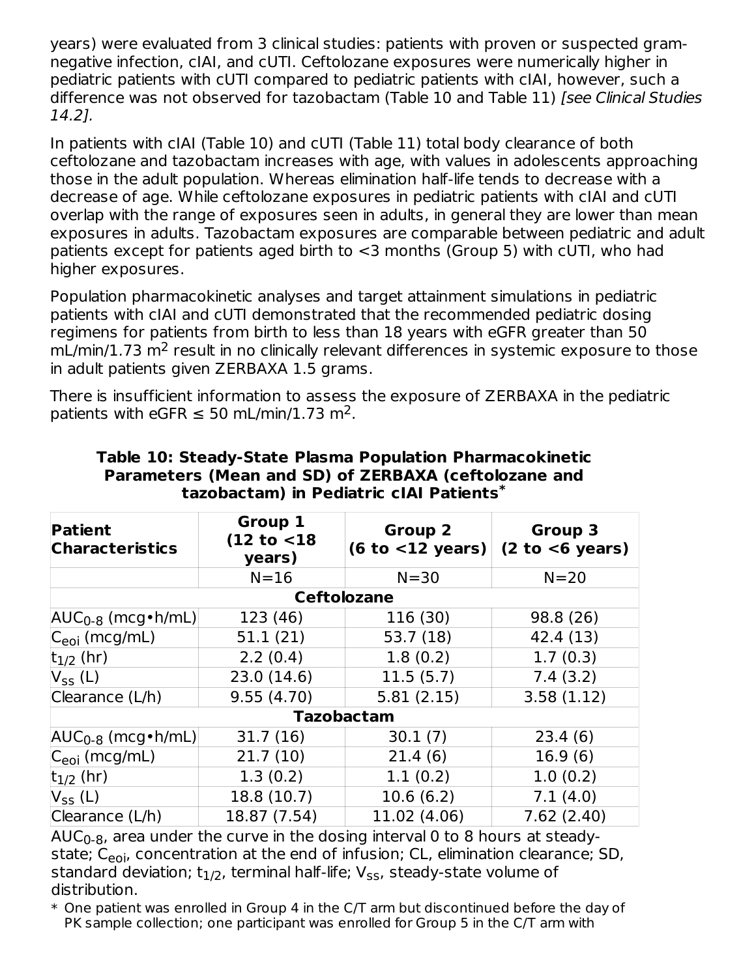years) were evaluated from 3 clinical studies: patients with proven or suspected gramnegative infection, cIAI, and cUTI. Ceftolozane exposures were numerically higher in pediatric patients with cUTI compared to pediatric patients with cIAI, however, such a difference was not observed for tazobactam (Table 10 and Table 11) [see Clinical Studies 14.2].

In patients with cIAI (Table 10) and cUTI (Table 11) total body clearance of both ceftolozane and tazobactam increases with age, with values in adolescents approaching those in the adult population. Whereas elimination half-life tends to decrease with a decrease of age. While ceftolozane exposures in pediatric patients with cIAI and cUTI overlap with the range of exposures seen in adults, in general they are lower than mean exposures in adults. Tazobactam exposures are comparable between pediatric and adult patients except for patients aged birth to <3 months (Group 5) with cUTI, who had higher exposures.

Population pharmacokinetic analyses and target attainment simulations in pediatric patients with cIAI and cUTI demonstrated that the recommended pediatric dosing regimens for patients from birth to less than 18 years with eGFR greater than 50  $mL/min/1.73 m<sup>2</sup>$  result in no clinically relevant differences in systemic exposure to those in adult patients given ZERBAXA 1.5 grams.

There is insufficient information to assess the exposure of ZERBAXA in the pediatric patients with eGFR  $\leq$  50 mL/min/1.73 m<sup>2</sup>.

| <b>Patient</b><br><b>Characteristics</b> | Group 1<br>(12 to < 18)<br>years) | <b>Group 2</b><br>(6 to < 12 years) | <b>Group 3</b><br>(2 to < 6 years) |
|------------------------------------------|-----------------------------------|-------------------------------------|------------------------------------|
|                                          | $N = 16$                          | $N = 30$                            | $N = 20$                           |
|                                          | <b>Ceftolozane</b>                |                                     |                                    |
| $AUC_{0-8}$ (mcg • h/mL)                 | 123 (46)                          | 116 (30)                            | 98.8 (26)                          |
| $ C_{eoi}$ (mcg/mL)                      | 51.1(21)                          | 53.7(18)                            | 42.4 (13)                          |
| $ t_{1/2}$ (hr)                          | 2.2(0.4)                          | 1.8(0.2)                            | 1.7(0.3)                           |
| $V_{SS}$ (L)                             | 23.0 (14.6)                       | 11.5(5.7)                           | 7.4(3.2)                           |
| Clearance (L/h)                          | 9.55(4.70)                        | 5.81(2.15)                          | 3.58(1.12)                         |
|                                          | <b>Tazobactam</b>                 |                                     |                                    |
| $AUC_{0-8}$ (mcg • h/mL)                 | 31.7(16)                          | 30.1(7)                             | 23.4(6)                            |
| $ C_{e0i}$ (mcg/mL)                      | 21.7(10)                          | 21.4(6)                             | 16.9(6)                            |
| $ t_{1/2}$ (hr)                          | 1.3(0.2)                          | 1.1(0.2)                            | 1.0(0.2)                           |
| $V_{SS}$ (L)                             | 18.8 (10.7)                       | 10.6(6.2)                           | 7.1(4.0)                           |
| Clearance (L/h)                          | 18.87 (7.54)                      | 11.02 (4.06)                        | 7.62(2.40)                         |

#### **Table 10: Steady-State Plasma Population Pharmacokinetic Parameters (Mean and SD) of ZERBAXA (ceftolozane and tazobactam) in Pediatric cIAI Patients \***

AUC $_{\rm 0}$ - $_{\rm 8}$ , area under the curve in the dosing interval 0 to 8 hours at steadystate; C<sub>eoi</sub>, concentration at the end of infusion; CL, elimination clearance; SD, standard deviation; t $_{\rm 1/2}$ , terminal half-life; V<sub>ss</sub>, steady-state volume of distribution.

 $\ast$  One patient was enrolled in Group 4 in the C/T arm but discontinued before the day of PK sample collection; one participant was enrolled for Group 5 in the C/T arm with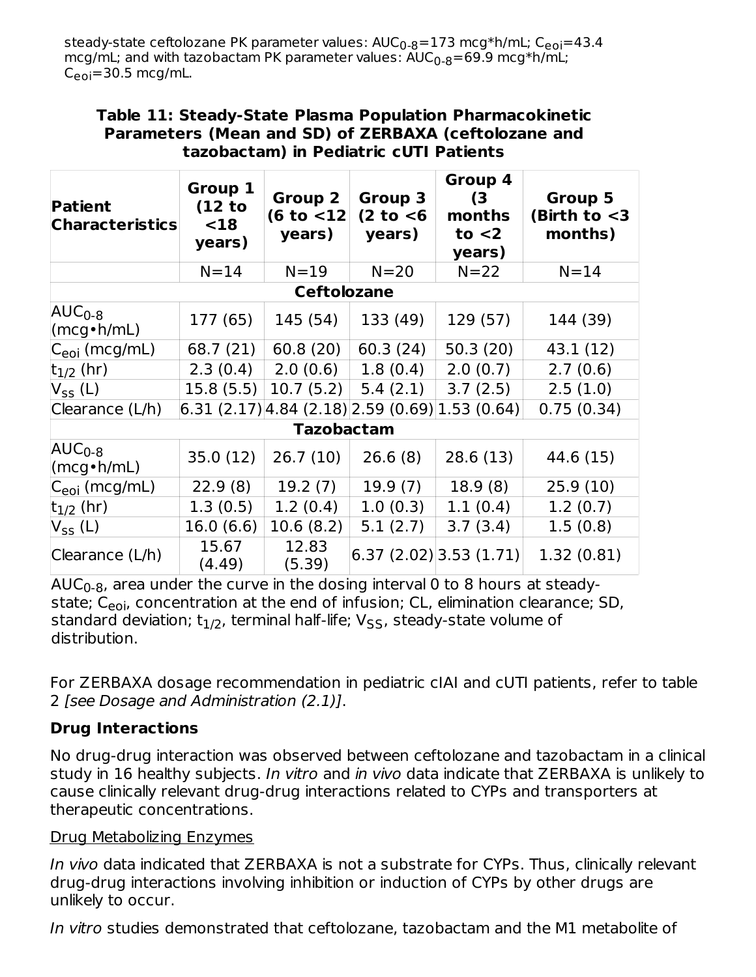steady-state ceftolozane PK parameter values: AUC<sub>0-8</sub>=173 mcg\*h/mL; C<sub>eoi</sub>=43.4 mcg/mL; and with tazobactam PK parameter values:  $\mathsf{AUC}_{0\text{-}8} \text{=} \mathsf{69.9\;mcg*}$ h/mL; C<sub>eoi</sub>=30.5 mcg/mL.

#### **Table 11: Steady-State Plasma Population Pharmacokinetic Parameters (Mean and SD) of ZERBAXA (ceftolozane and tazobactam) in Pediatric cUTI Patients**

| <b>Patient</b><br><b>Characteristics</b> | Group 1<br>(12 to<br>$18$<br>years) | <b>Group 2</b><br>(6 to < 12)<br>years) | Group 3<br>$(2 \text{ to } 6)$<br>years)           | Group 4<br>(3)<br>months<br>to $<$ 2<br>years) | Group 5<br>(Birth to $<$ 3<br>months) |
|------------------------------------------|-------------------------------------|-----------------------------------------|----------------------------------------------------|------------------------------------------------|---------------------------------------|
|                                          | $N = 14$                            | $N=19$                                  | $N = 20$                                           | $N=22$                                         | $N = 14$                              |
|                                          |                                     | <b>Ceftolozane</b>                      |                                                    |                                                |                                       |
| $AUC_{0-8}$<br>$(mcg\cdot h/mL)$         | 177 (65)                            | 145 (54)                                | 133 (49)                                           | 129 (57)                                       | 144 (39)                              |
| $ C_{eoi}$ (mcg/mL)                      | 68.7 (21)                           | 60.8(20)                                | 60.3(24)                                           | 50.3(20)                                       | 43.1 (12)                             |
| $t_{1/2}$ (hr)                           | 2.3(0.4)                            | 2.0(0.6)                                | 1.8(0.4)                                           | 2.0(0.7)                                       | 2.7(0.6)                              |
| $V_{SS}$ (L)                             | 15.8(5.5)                           | 10.7(5.2)                               | 5.4(2.1)                                           | 3.7(2.5)                                       | 2.5(1.0)                              |
| Clearance (L/h)                          |                                     |                                         | $(6.31 (2.17) 4.84 (2.18) 2.59 (0.69) 1.53 (0.64)$ |                                                | 0.75(0.34)                            |
|                                          |                                     | <b>Tazobactam</b>                       |                                                    |                                                |                                       |
| $AUC_{0-8}$<br>$(mcg\cdot h/mL)$         | 35.0(12)                            | 26.7(10)                                | 26.6(8)                                            | 28.6 (13)                                      | 44.6 (15)                             |
| C <sub>eoi</sub> (mcg/mL)                | 22.9(8)                             | 19.2(7)                                 | 19.9(7)                                            | 18.9(8)                                        | 25.9(10)                              |
| $t_{1/2}$ (hr)                           | 1.3(0.5)                            | 1.2(0.4)                                | 1.0(0.3)                                           | 1.1(0.4)                                       | 1.2(0.7)                              |
| $V_{SS}$ (L)                             | 16.0(6.6)                           | 10.6(8.2)                               | 5.1(2.7)                                           | 3.7(3.4)                                       | 1.5(0.8)                              |
| Clearance (L/h)                          | 15.67<br>(4.49)                     | 12.83<br>(5.39)                         |                                                    | 6.37(2.02) 3.53(1.71)                          | 1.32(0.81)                            |

AUC $_{\rm 0}$ - $_{8}$ , area under the curve in the dosing interval 0 to 8 hours at steadystate; C<sub>eoi</sub>, concentration at the end of infusion; CL, elimination clearance; SD, standard deviation; t $_{\rm 1/2}$ , terminal half-life; V<sub>SS</sub>, steady-state volume of distribution.

For ZERBAXA dosage recommendation in pediatric cIAI and cUTI patients, refer to table 2 [see Dosage and Administration (2.1)].

### **Drug Interactions**

No drug-drug interaction was observed between ceftolozane and tazobactam in a clinical study in 16 healthy subjects. In vitro and in vivo data indicate that ZERBAXA is unlikely to cause clinically relevant drug-drug interactions related to CYPs and transporters at therapeutic concentrations.

#### Drug Metabolizing Enzymes

In vivo data indicated that ZERBAXA is not a substrate for CYPs. Thus, clinically relevant drug-drug interactions involving inhibition or induction of CYPs by other drugs are unlikely to occur.

In vitro studies demonstrated that ceftolozane, tazobactam and the M1 metabolite of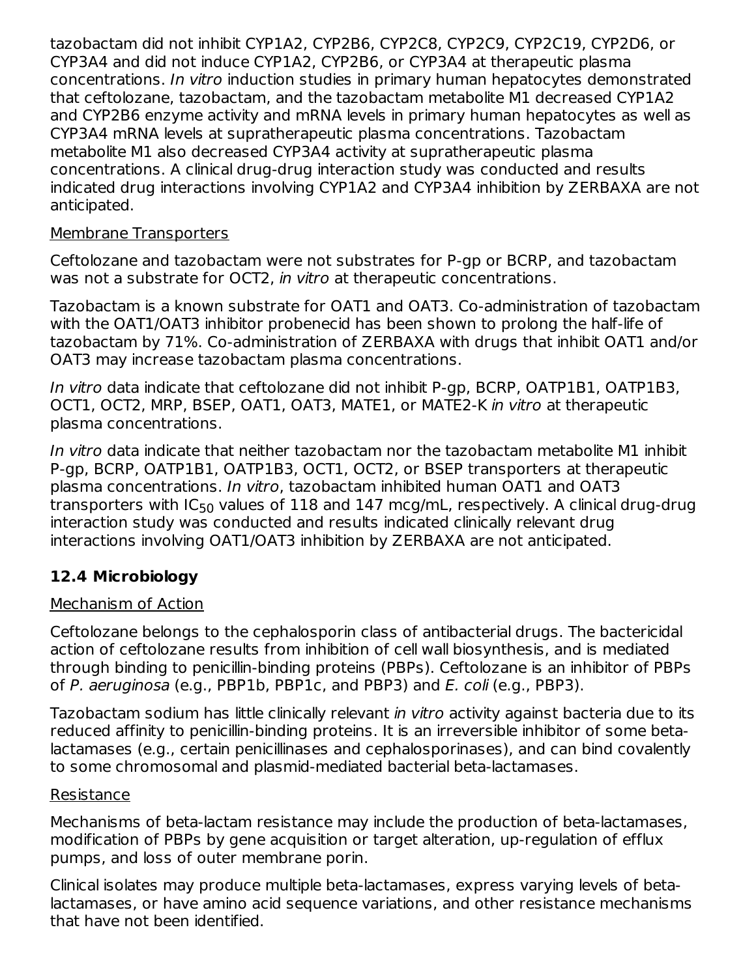tazobactam did not inhibit CYP1A2, CYP2B6, CYP2C8, CYP2C9, CYP2C19, CYP2D6, or CYP3A4 and did not induce CYP1A2, CYP2B6, or CYP3A4 at therapeutic plasma concentrations. In vitro induction studies in primary human hepatocytes demonstrated that ceftolozane, tazobactam, and the tazobactam metabolite M1 decreased CYP1A2 and CYP2B6 enzyme activity and mRNA levels in primary human hepatocytes as well as CYP3A4 mRNA levels at supratherapeutic plasma concentrations. Tazobactam metabolite M1 also decreased CYP3A4 activity at supratherapeutic plasma concentrations. A clinical drug-drug interaction study was conducted and results indicated drug interactions involving CYP1A2 and CYP3A4 inhibition by ZERBAXA are not anticipated.

#### Membrane Transporters

Ceftolozane and tazobactam were not substrates for P-gp or BCRP, and tazobactam was not a substrate for OCT2, in vitro at therapeutic concentrations.

Tazobactam is a known substrate for OAT1 and OAT3. Co-administration of tazobactam with the OAT1/OAT3 inhibitor probenecid has been shown to prolong the half-life of tazobactam by 71%. Co-administration of ZERBAXA with drugs that inhibit OAT1 and/or OAT3 may increase tazobactam plasma concentrations.

In vitro data indicate that ceftolozane did not inhibit P-gp, BCRP, OATP1B1, OATP1B3, OCT1, OCT2, MRP, BSEP, OAT1, OAT3, MATE1, or MATE2-K in vitro at therapeutic plasma concentrations.

In vitro data indicate that neither tazobactam nor the tazobactam metabolite M1 inhibit P-gp, BCRP, OATP1B1, OATP1B3, OCT1, OCT2, or BSEP transporters at therapeutic plasma concentrations. In vitro, tazobactam inhibited human OAT1 and OAT3 transporters with IC<sub>50</sub> values of  $118$  and  $147$  mcg/mL, respectively. A clinical drug-drug interaction study was conducted and results indicated clinically relevant drug interactions involving OAT1/OAT3 inhibition by ZERBAXA are not anticipated.

# **12.4 Microbiology**

#### Mechanism of Action

Ceftolozane belongs to the cephalosporin class of antibacterial drugs. The bactericidal action of ceftolozane results from inhibition of cell wall biosynthesis, and is mediated through binding to penicillin-binding proteins (PBPs). Ceftolozane is an inhibitor of PBPs of P. aeruginosa (e.g., PBP1b, PBP1c, and PBP3) and E. coli (e.g., PBP3).

Tazobactam sodium has little clinically relevant in vitro activity against bacteria due to its reduced affinity to penicillin-binding proteins. It is an irreversible inhibitor of some betalactamases (e.g., certain penicillinases and cephalosporinases), and can bind covalently to some chromosomal and plasmid-mediated bacterial beta-lactamases.

#### Resistance

Mechanisms of beta-lactam resistance may include the production of beta-lactamases, modification of PBPs by gene acquisition or target alteration, up-regulation of efflux pumps, and loss of outer membrane porin.

Clinical isolates may produce multiple beta-lactamases, express varying levels of betalactamases, or have amino acid sequence variations, and other resistance mechanisms that have not been identified.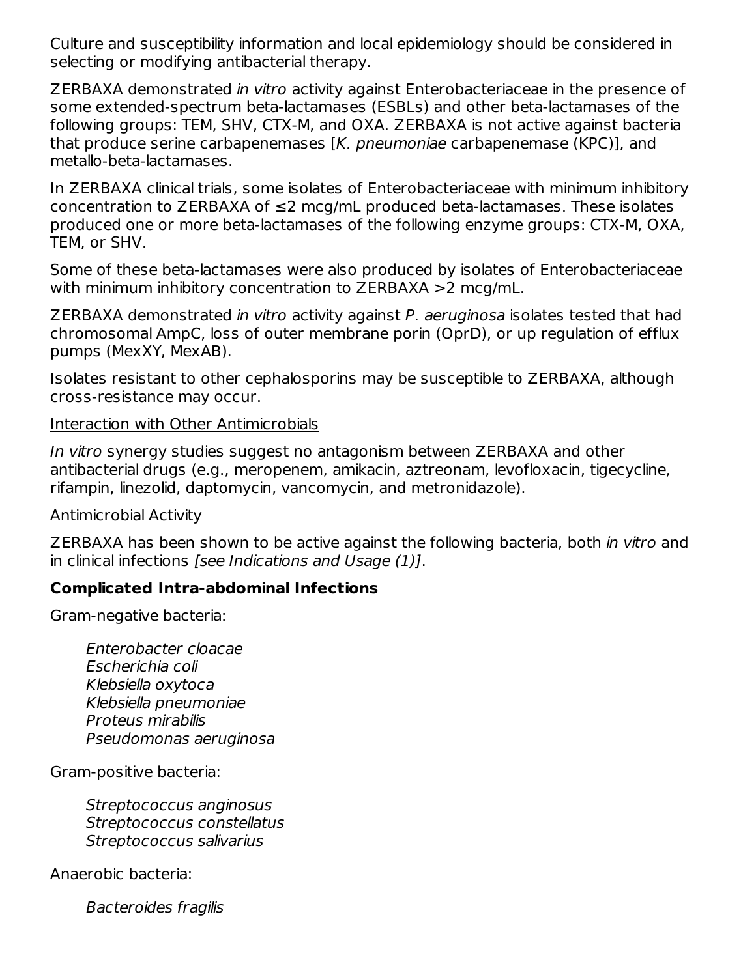Culture and susceptibility information and local epidemiology should be considered in selecting or modifying antibacterial therapy.

ZERBAXA demonstrated in vitro activity against Enterobacteriaceae in the presence of some extended-spectrum beta-lactamases (ESBLs) and other beta-lactamases of the following groups: TEM, SHV, CTX-M, and OXA. ZERBAXA is not active against bacteria that produce serine carbapenemases [K. pneumoniae carbapenemase (KPC)], and metallo-beta-lactamases.

In ZERBAXA clinical trials, some isolates of Enterobacteriaceae with minimum inhibitory concentration to ZERBAXA of ≤2 mcg/mL produced beta-lactamases. These isolates produced one or more beta-lactamases of the following enzyme groups: CTX-M, OXA, TEM, or SHV.

Some of these beta-lactamases were also produced by isolates of Enterobacteriaceae with minimum inhibitory concentration to ZERBAXA >2 mcg/mL.

ZERBAXA demonstrated in vitro activity against P. aeruginosa isolates tested that had chromosomal AmpC, loss of outer membrane porin (OprD), or up regulation of efflux pumps (MexXY, MexAB).

Isolates resistant to other cephalosporins may be susceptible to ZERBAXA, although cross-resistance may occur.

#### Interaction with Other Antimicrobials

In vitro synergy studies suggest no antagonism between ZERBAXA and other antibacterial drugs (e.g., meropenem, amikacin, aztreonam, levofloxacin, tigecycline, rifampin, linezolid, daptomycin, vancomycin, and metronidazole).

#### Antimicrobial Activity

ZERBAXA has been shown to be active against the following bacteria, both in vitro and in clinical infections [see Indications and Usage (1)].

#### **Complicated Intra-abdominal Infections**

Gram-negative bacteria:

Enterobacter cloacae Escherichia coli Klebsiella oxytoca Klebsiella pneumoniae Proteus mirabilis Pseudomonas aeruginosa

Gram-positive bacteria:

Streptococcus anginosus Streptococcus constellatus Streptococcus salivarius

Anaerobic bacteria:

Bacteroides fragilis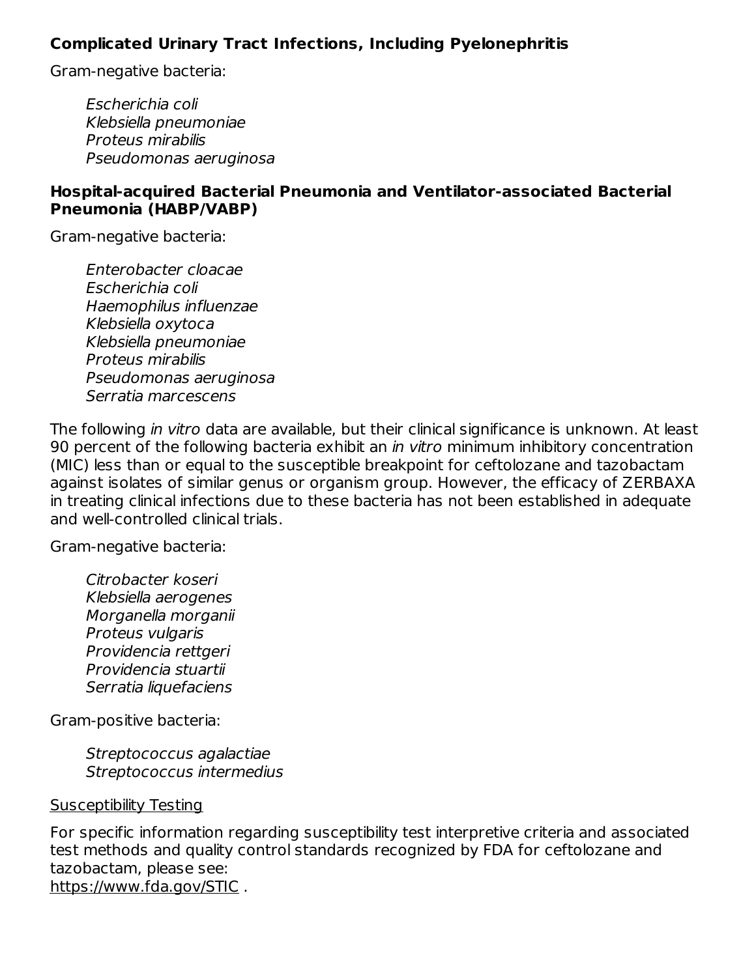#### **Complicated Urinary Tract Infections, Including Pyelonephritis**

Gram-negative bacteria:

Escherichia coli Klebsiella pneumoniae Proteus mirabilis Pseudomonas aeruginosa

#### **Hospital-acquired Bacterial Pneumonia and Ventilator-associated Bacterial Pneumonia (HABP/VABP)**

Gram-negative bacteria:

Enterobacter cloacae Escherichia coli Haemophilus influenzae Klebsiella oxytoca Klebsiella pneumoniae Proteus mirabilis Pseudomonas aeruginosa Serratia marcescens

The following in vitro data are available, but their clinical significance is unknown. At least 90 percent of the following bacteria exhibit an *in vitro* minimum inhibitory concentration (MIC) less than or equal to the susceptible breakpoint for ceftolozane and tazobactam against isolates of similar genus or organism group. However, the efficacy of ZERBAXA in treating clinical infections due to these bacteria has not been established in adequate and well-controlled clinical trials.

Gram-negative bacteria:

Citrobacter koseri Klebsiella aerogenes Morganella morganii Proteus vulgaris Providencia rettgeri Providencia stuartii Serratia liquefaciens

Gram-positive bacteria:

Streptococcus agalactiae Streptococcus intermedius

#### Susceptibility Testing

For specific information regarding susceptibility test interpretive criteria and associated test methods and quality control standards recognized by FDA for ceftolozane and tazobactam, please see: https://www.fda.gov/STIC .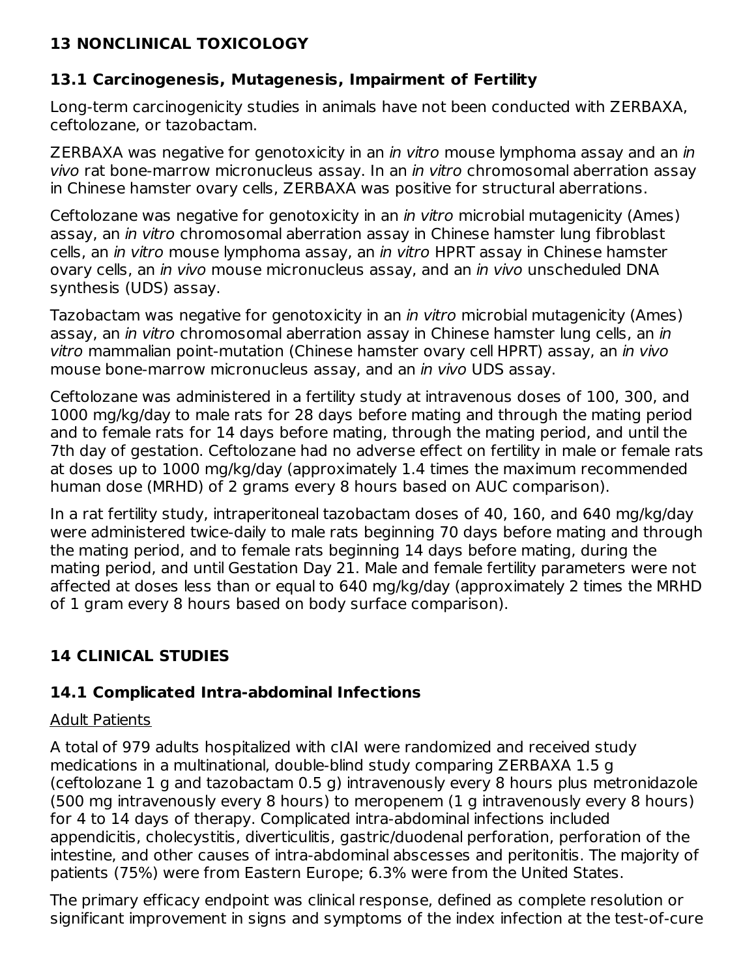## **13 NONCLINICAL TOXICOLOGY**

### **13.1 Carcinogenesis, Mutagenesis, Impairment of Fertility**

Long-term carcinogenicity studies in animals have not been conducted with ZERBAXA, ceftolozane, or tazobactam.

ZERBAXA was negative for genotoxicity in an *in vitro* mouse lymphoma assay and an *in* vivo rat bone-marrow micronucleus assay. In an in vitro chromosomal aberration assay in Chinese hamster ovary cells, ZERBAXA was positive for structural aberrations.

Ceftolozane was negative for genotoxicity in an in vitro microbial mutagenicity (Ames) assay, an in vitro chromosomal aberration assay in Chinese hamster lung fibroblast cells, an in vitro mouse lymphoma assay, an in vitro HPRT assay in Chinese hamster ovary cells, an *in vivo* mouse micronucleus assay, and an *in vivo* unscheduled DNA synthesis (UDS) assay.

Tazobactam was negative for genotoxicity in an in vitro microbial mutagenicity (Ames) assay, an in vitro chromosomal aberration assay in Chinese hamster lung cells, an in vitro mammalian point-mutation (Chinese hamster ovary cell HPRT) assay, an in vivo mouse bone-marrow micronucleus assay, and an *in vivo* UDS assay.

Ceftolozane was administered in a fertility study at intravenous doses of 100, 300, and 1000 mg/kg/day to male rats for 28 days before mating and through the mating period and to female rats for 14 days before mating, through the mating period, and until the 7th day of gestation. Ceftolozane had no adverse effect on fertility in male or female rats at doses up to 1000 mg/kg/day (approximately 1.4 times the maximum recommended human dose (MRHD) of 2 grams every 8 hours based on AUC comparison).

In a rat fertility study, intraperitoneal tazobactam doses of 40, 160, and 640 mg/kg/day were administered twice-daily to male rats beginning 70 days before mating and through the mating period, and to female rats beginning 14 days before mating, during the mating period, and until Gestation Day 21. Male and female fertility parameters were not affected at doses less than or equal to 640 mg/kg/day (approximately 2 times the MRHD of 1 gram every 8 hours based on body surface comparison).

# **14 CLINICAL STUDIES**

### **14.1 Complicated Intra-abdominal Infections**

### Adult Patients

A total of 979 adults hospitalized with cIAI were randomized and received study medications in a multinational, double-blind study comparing ZERBAXA 1.5 g (ceftolozane 1 g and tazobactam 0.5 g) intravenously every 8 hours plus metronidazole (500 mg intravenously every 8 hours) to meropenem (1 g intravenously every 8 hours) for 4 to 14 days of therapy. Complicated intra-abdominal infections included appendicitis, cholecystitis, diverticulitis, gastric/duodenal perforation, perforation of the intestine, and other causes of intra-abdominal abscesses and peritonitis. The majority of patients (75%) were from Eastern Europe; 6.3% were from the United States.

The primary efficacy endpoint was clinical response, defined as complete resolution or significant improvement in signs and symptoms of the index infection at the test-of-cure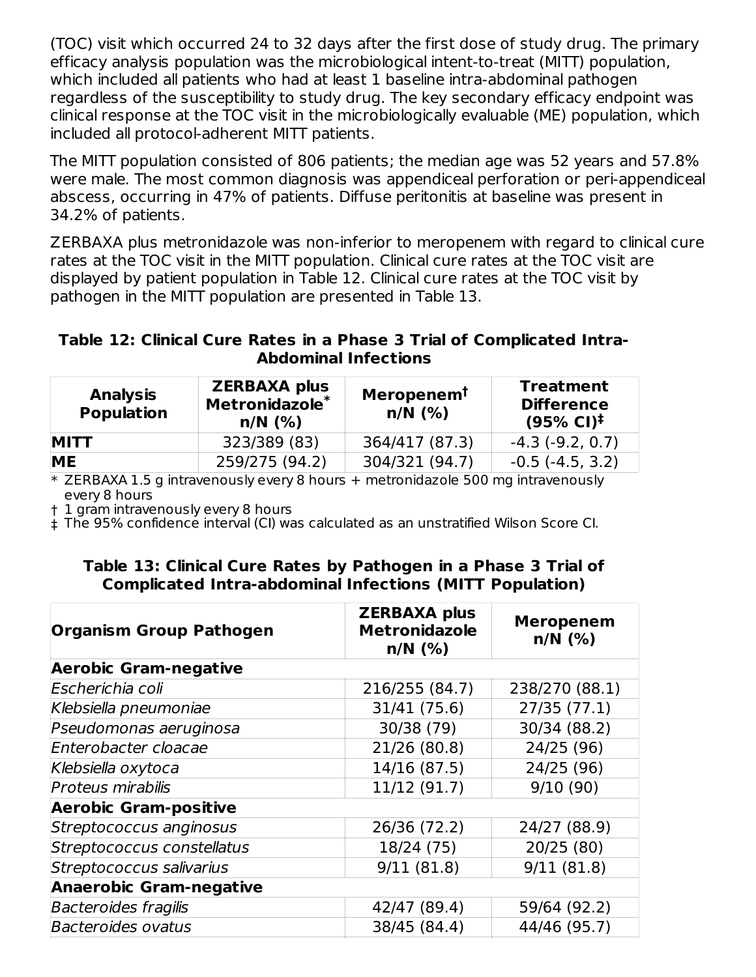(TOC) visit which occurred 24 to 32 days after the first dose of study drug. The primary efficacy analysis population was the microbiological intent-to-treat (MITT) population, which included all patients who had at least 1 baseline intra-abdominal pathogen regardless of the susceptibility to study drug. The key secondary efficacy endpoint was clinical response at the TOC visit in the microbiologically evaluable (ME) population, which included all protocol-adherent MITT patients.

The MITT population consisted of 806 patients; the median age was 52 years and 57.8% were male. The most common diagnosis was appendiceal perforation or peri-appendiceal abscess, occurring in 47% of patients. Diffuse peritonitis at baseline was present in 34.2% of patients.

ZERBAXA plus metronidazole was non-inferior to meropenem with regard to clinical cure rates at the TOC visit in the MITT population. Clinical cure rates at the TOC visit are displayed by patient population in Table 12. Clinical cure rates at the TOC visit by pathogen in the MITT population are presented in Table 13.

#### **Table 12: Clinical Cure Rates in a Phase 3 Trial of Complicated Intra-Abdominal Infections**

| <b>Analysis</b><br><b>Population</b> | <b>ZERBAXA plus</b><br>Metronidazole*<br>$n/N$ (%) | <b>Meropenem<sup>T</sup></b><br>$n/N$ (%) | <b>Treatment</b><br><b>Difference</b><br>$(95\% \text{ Cl})^{\ddagger}$ |
|--------------------------------------|----------------------------------------------------|-------------------------------------------|-------------------------------------------------------------------------|
| <b>MITT</b>                          | 323/389 (83)                                       | 364/417 (87.3)                            | $-4.3$ ( $-9.2, 0.7$ )                                                  |
| <b>ME</b>                            | 259/275 (94.2)                                     | 304/321 (94.7)                            | $-0.5$ ( $-4.5$ , 3.2)                                                  |

\* ZERBAXA 1.5 g intravenously every 8 hours + metronidazole 500 mg intravenously every 8 hours

† 1 gram intravenously every 8 hours

‡ The 95% confidence interval (CI) was calculated as an unstratified Wilson Score CI.

#### **Table 13: Clinical Cure Rates by Pathogen in a Phase 3 Trial of Complicated Intra-abdominal Infections (MITT Population)**

| <b>Organism Group Pathogen</b> | <b>ZERBAXA plus</b><br><b>Metronidazole</b><br>$n/N$ (%) | <b>Meropenem</b><br>$n/N$ (%) |
|--------------------------------|----------------------------------------------------------|-------------------------------|
| <b>Aerobic Gram-negative</b>   |                                                          |                               |
| Escherichia coli               | 216/255 (84.7)                                           | 238/270 (88.1)                |
| Klebsiella pneumoniae          | 31/41 (75.6)                                             | 27/35(77.1)                   |
| Pseudomonas aeruginosa         | 30/38 (79)                                               | 30/34 (88.2)                  |
| Enterobacter cloacae           | 21/26 (80.8)                                             | 24/25 (96)                    |
| Klebsiella oxytoca             | 14/16 (87.5)                                             | 24/25 (96)                    |
| <b>Proteus mirabilis</b>       | 11/12 (91.7)                                             | 9/10(90)                      |
| <b>Aerobic Gram-positive</b>   |                                                          |                               |
| Streptococcus anginosus        | 26/36 (72.2)                                             | 24/27 (88.9)                  |
| Streptococcus constellatus     | 18/24 (75)                                               | 20/25 (80)                    |
| Streptococcus salivarius       | 9/11(81.8)                                               | 9/11(81.8)                    |
| <b>Anaerobic Gram-negative</b> |                                                          |                               |
| <b>Bacteroides fragilis</b>    | 42/47 (89.4)                                             | 59/64 (92.2)                  |
| <b>Bacteroides ovatus</b>      | 38/45 (84.4)                                             | 44/46 (95.7)                  |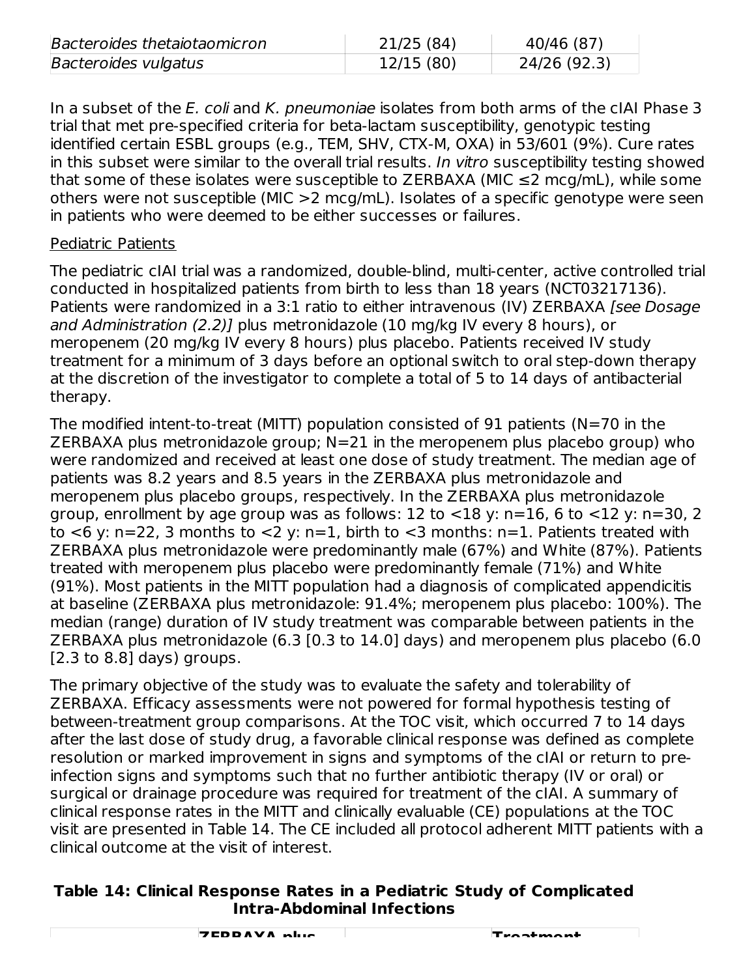| Bacteroides thetaiotaomicron | 21/25 (84) | 40/46 (87)   |
|------------------------------|------------|--------------|
| Bacteroides vulgatus         | 12/15(80)  | 24/26 (92.3) |

In a subset of the E. coli and K. pneumoniae isolates from both arms of the cIAI Phase 3 trial that met pre-specified criteria for beta-lactam susceptibility, genotypic testing identified certain ESBL groups (e.g., TEM, SHV, CTX-M, OXA) in 53/601 (9%). Cure rates in this subset were similar to the overall trial results. In vitro susceptibility testing showed that some of these isolates were susceptible to ZERBAXA (MIC  $\leq$ 2 mcg/mL), while some others were not susceptible (MIC >2 mcg/mL). Isolates of a specific genotype were seen in patients who were deemed to be either successes or failures.

#### Pediatric Patients

The pediatric cIAI trial was a randomized, double-blind, multi-center, active controlled trial conducted in hospitalized patients from birth to less than 18 years (NCT03217136). Patients were randomized in a 3:1 ratio to either intravenous (IV) ZERBAXA [see Dosage and Administration (2.2)] plus metronidazole (10 mg/kg IV every 8 hours), or meropenem (20 mg/kg IV every 8 hours) plus placebo. Patients received IV study treatment for a minimum of 3 days before an optional switch to oral step-down therapy at the discretion of the investigator to complete a total of 5 to 14 days of antibacterial therapy.

The modified intent-to-treat (MITT) population consisted of 91 patients (N=70 in the ZERBAXA plus metronidazole group; N=21 in the meropenem plus placebo group) who were randomized and received at least one dose of study treatment. The median age of patients was 8.2 years and 8.5 years in the ZERBAXA plus metronidazole and meropenem plus placebo groups, respectively. In the ZERBAXA plus metronidazole group, enrollment by age group was as follows: 12 to  $<$ 18 y: n=16, 6 to  $<$ 12 y: n=30, 2 to  $\lt 6$  y: n=22, 3 months to  $\lt 2$  y: n=1, birth to  $\lt 3$  months: n=1. Patients treated with ZERBAXA plus metronidazole were predominantly male (67%) and White (87%). Patients treated with meropenem plus placebo were predominantly female (71%) and White (91%). Most patients in the MITT population had a diagnosis of complicated appendicitis at baseline (ZERBAXA plus metronidazole: 91.4%; meropenem plus placebo: 100%). The median (range) duration of IV study treatment was comparable between patients in the ZERBAXA plus metronidazole (6.3 [0.3 to 14.0] days) and meropenem plus placebo (6.0 [2.3 to 8.8] days) groups.

The primary objective of the study was to evaluate the safety and tolerability of ZERBAXA. Efficacy assessments were not powered for formal hypothesis testing of between-treatment group comparisons. At the TOC visit, which occurred 7 to 14 days after the last dose of study drug, a favorable clinical response was defined as complete resolution or marked improvement in signs and symptoms of the cIAI or return to preinfection signs and symptoms such that no further antibiotic therapy (IV or oral) or surgical or drainage procedure was required for treatment of the cIAI. A summary of clinical response rates in the MITT and clinically evaluable (CE) populations at the TOC visit are presented in Table 14. The CE included all protocol adherent MITT patients with a clinical outcome at the visit of interest.

#### **Table 14: Clinical Response Rates in a Pediatric Study of Complicated Intra-Abdominal Infections**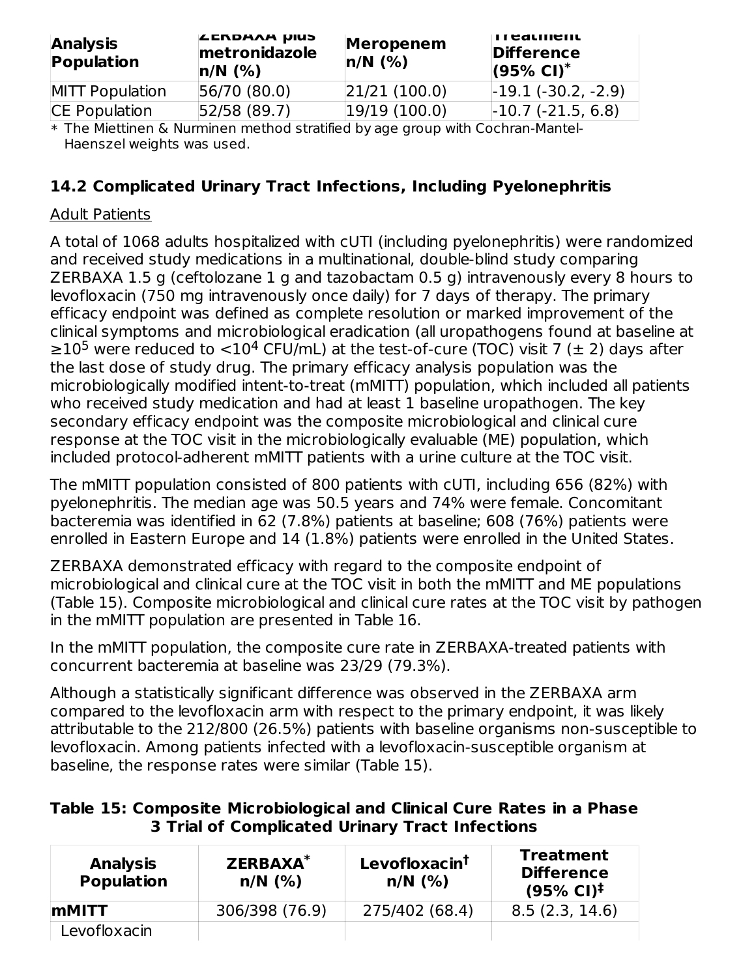| <b>Analysis</b><br>Population | <b>LERDAAA UIUS</b><br>metronidazole<br>$n/N$ (%) | <b>Meropenem</b><br>$n/N$ (%) | <b>II CALINENL</b><br><b>Difference</b><br>$(95\% \text{ Cl})^*$ |
|-------------------------------|---------------------------------------------------|-------------------------------|------------------------------------------------------------------|
| MITT Population               | 56/70 (80.0)                                      | 21/21(100.0)                  | $-19.1(-30.2, -2.9)$                                             |
| CE Population                 | 52/58 (89.7)                                      | 19/19(100.0)                  | $-10.7$ ( $-21.5$ , 6.8)                                         |

\* The Miettinen & Nurminen method stratified by age group with Cochran-Mantel-Haenszel weights was used.

### **14.2 Complicated Urinary Tract Infections, Including Pyelonephritis**

#### Adult Patients

A total of 1068 adults hospitalized with cUTI (including pyelonephritis) were randomized and received study medications in a multinational, double-blind study comparing ZERBAXA 1.5 g (ceftolozane 1 g and tazobactam 0.5 g) intravenously every 8 hours to levofloxacin (750 mg intravenously once daily) for 7 days of therapy. The primary efficacy endpoint was defined as complete resolution or marked improvement of the clinical symptoms and microbiological eradication (all uropathogens found at baseline at ≥10<sup>5</sup> were reduced to <10<sup>4</sup> CFU/mL) at the test-of-cure (TOC) visit 7 (± 2) days after the last dose of study drug. The primary efficacy analysis population was the microbiologically modified intent-to-treat (mMITT) population, which included all patients who received study medication and had at least 1 baseline uropathogen. The key secondary efficacy endpoint was the composite microbiological and clinical cure response at the TOC visit in the microbiologically evaluable (ME) population, which included protocol-adherent mMITT patients with a urine culture at the TOC visit.

The mMITT population consisted of 800 patients with cUTI, including 656 (82%) with pyelonephritis. The median age was 50.5 years and 74% were female. Concomitant bacteremia was identified in 62 (7.8%) patients at baseline; 608 (76%) patients were enrolled in Eastern Europe and 14 (1.8%) patients were enrolled in the United States.

ZERBAXA demonstrated efficacy with regard to the composite endpoint of microbiological and clinical cure at the TOC visit in both the mMITT and ME populations (Table 15). Composite microbiological and clinical cure rates at the TOC visit by pathogen in the mMITT population are presented in Table 16.

In the mMITT population, the composite cure rate in ZERBAXA-treated patients with concurrent bacteremia at baseline was 23/29 (79.3%).

Although a statistically significant difference was observed in the ZERBAXA arm compared to the levofloxacin arm with respect to the primary endpoint, it was likely attributable to the 212/800 (26.5%) patients with baseline organisms non-susceptible to levofloxacin. Among patients infected with a levofloxacin-susceptible organism at baseline, the response rates were similar (Table 15).

| Table 15: Composite Microbiological and Clinical Cure Rates in a Phase |  |
|------------------------------------------------------------------------|--|
| 3 Trial of Complicated Urinary Tract Infections                        |  |

| ZERBAXA <sup>*</sup><br><b>Analysis</b><br><b>Population</b><br>$n/N$ (%) |                | Levofloxacin <sup>t</sup><br>$n/N$ (%) | <b>Treatment</b><br><b>Difference</b><br>$(95\% \text{ Cl})^{\ddagger}$ |  |  |
|---------------------------------------------------------------------------|----------------|----------------------------------------|-------------------------------------------------------------------------|--|--|
| <b>IMMITT</b>                                                             | 306/398 (76.9) | 275/402 (68.4)                         | 8.5(2.3, 14.6)                                                          |  |  |
| Levofloxacin                                                              |                |                                        |                                                                         |  |  |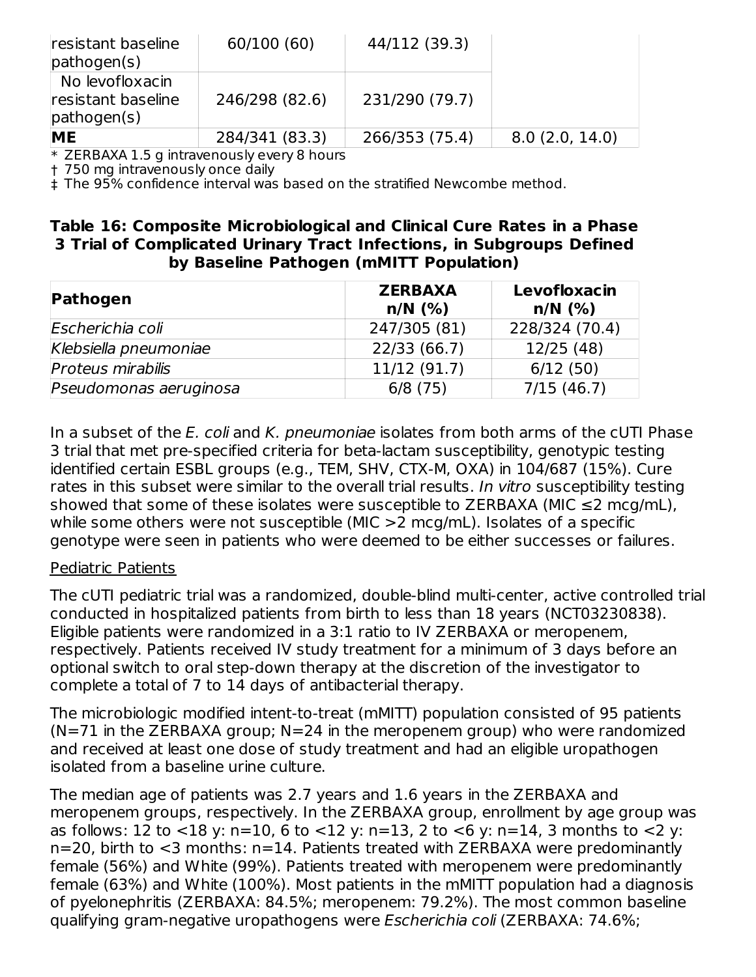| resistant baseline<br>pathogen(s)                               | 60/100 (60)    | 44/112 (39.3)  |                |
|-----------------------------------------------------------------|----------------|----------------|----------------|
| No levofloxacin<br>resistant baseline<br>$\mathsf{pathogen(s)}$ | 246/298 (82.6) | 231/290 (79.7) |                |
| <b>ME</b>                                                       | 284/341 (83.3) | 266/353 (75.4) | 8.0(2.0, 14.0) |

\* ZERBAXA 1.5 g intravenously every 8 hours

† 750 mg intravenously once daily

‡ The 95% confidence interval was based on the stratified Newcombe method.

#### **Table 16: Composite Microbiological and Clinical Cure Rates in a Phase 3 Trial of Complicated Urinary Tract Infections, in Subgroups Defined by Baseline Pathogen (mMITT Population)**

| Pathogen                 | <b>ZERBAXA</b><br>$n/N$ (%) | Levofloxacin<br>$n/N$ (%) |  |  |
|--------------------------|-----------------------------|---------------------------|--|--|
| Escherichia coli         | 247/305 (81)                | 228/324 (70.4)            |  |  |
| Klebsiella pneumoniae    | 22/33 (66.7)                | 12/25 (48)                |  |  |
| <b>Proteus mirabilis</b> | 11/12(91.7)                 | 6/12(50)                  |  |  |
| Pseudomonas aeruginosa   | 6/8(75)                     | 7/15(46.7)                |  |  |

In a subset of the *E. coli* and *K. pneumoniae* isolates from both arms of the cUTI Phase 3 trial that met pre-specified criteria for beta-lactam susceptibility, genotypic testing identified certain ESBL groups (e.g., TEM, SHV, CTX-M, OXA) in 104/687 (15%). Cure rates in this subset were similar to the overall trial results. In vitro susceptibility testing showed that some of these isolates were susceptible to ZERBAXA (MIC  $\leq$ 2 mcg/mL), while some others were not susceptible (MIC >2 mcg/mL). Isolates of a specific genotype were seen in patients who were deemed to be either successes or failures.

#### Pediatric Patients

The cUTI pediatric trial was a randomized, double-blind multi-center, active controlled trial conducted in hospitalized patients from birth to less than 18 years (NCT03230838). Eligible patients were randomized in a 3:1 ratio to IV ZERBAXA or meropenem, respectively. Patients received IV study treatment for a minimum of 3 days before an optional switch to oral step-down therapy at the discretion of the investigator to complete a total of 7 to 14 days of antibacterial therapy.

The microbiologic modified intent-to-treat (mMITT) population consisted of 95 patients  $(N=71$  in the ZERBAXA group; N=24 in the meropenem group) who were randomized and received at least one dose of study treatment and had an eligible uropathogen isolated from a baseline urine culture.

The median age of patients was 2.7 years and 1.6 years in the ZERBAXA and meropenem groups, respectively. In the ZERBAXA group, enrollment by age group was as follows: 12 to <18 y: n=10, 6 to <12 y: n=13, 2 to <6 y: n=14, 3 months to <2 y: n=20, birth to <3 months: n=14. Patients treated with ZERBAXA were predominantly female (56%) and White (99%). Patients treated with meropenem were predominantly female (63%) and White (100%). Most patients in the mMITT population had a diagnosis of pyelonephritis (ZERBAXA: 84.5%; meropenem: 79.2%). The most common baseline qualifying gram-negative uropathogens were Escherichia coli (ZERBAXA: 74.6%;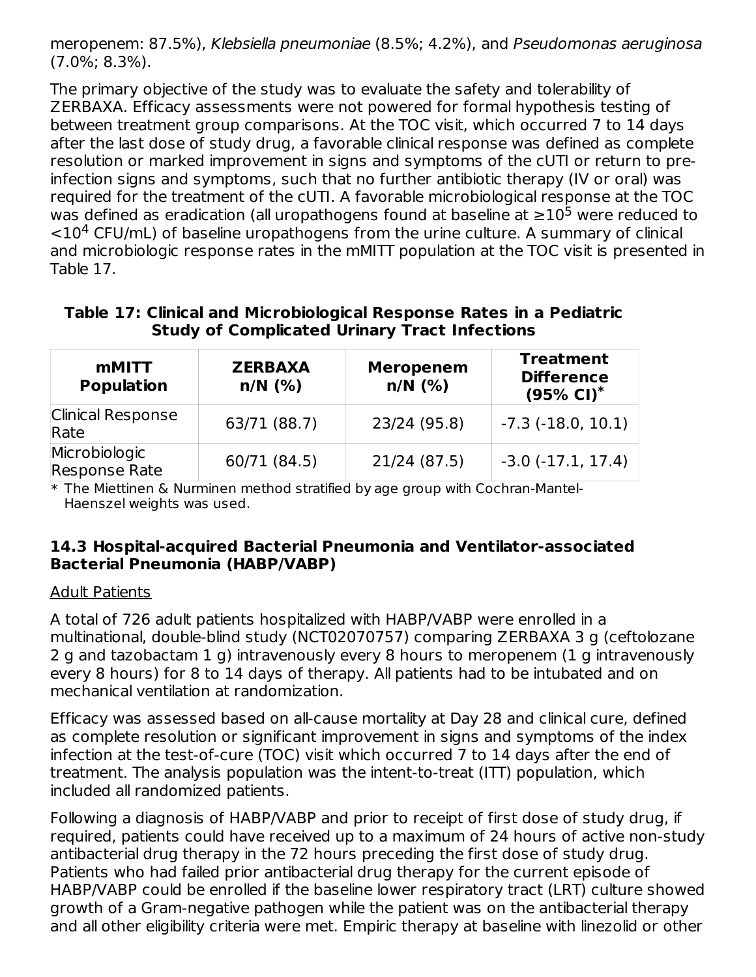meropenem: 87.5%), Klebsiella pneumoniae (8.5%; 4.2%), and Pseudomonas aeruginosa (7.0%; 8.3%).

The primary objective of the study was to evaluate the safety and tolerability of ZERBAXA. Efficacy assessments were not powered for formal hypothesis testing of between treatment group comparisons. At the TOC visit, which occurred 7 to 14 days after the last dose of study drug, a favorable clinical response was defined as complete resolution or marked improvement in signs and symptoms of the cUTI or return to preinfection signs and symptoms, such that no further antibiotic therapy (IV or oral) was required for the treatment of the cUTI. A favorable microbiological response at the TOC was defined as eradication (all uropathogens found at baseline at  ${\ge}10^5$  were reduced to  $<$ 10<sup>4</sup> CFU/mL) of baseline uropathogens from the urine culture. A summary of clinical and microbiologic response rates in the mMITT population at the TOC visit is presented in Table 17.

**Table 17: Clinical and Microbiological Response Rates in a Pediatric Study of Complicated Urinary Tract Infections**

| <b>mMITT</b><br><b>Population</b>     | <b>ZERBAXA</b><br>$n/N$ (%) | <b>Meropenem</b><br>$n/N$ (%) | <b>Treatment</b><br><b>Difference</b><br>$(95\% \text{ Cl})^*$ |  |  |
|---------------------------------------|-----------------------------|-------------------------------|----------------------------------------------------------------|--|--|
| <b>Clinical Response</b><br>Rate      | 63/71 (88.7)                | 23/24 (95.8)                  | $-7.3$ ( $-18.0, 10.1$ )                                       |  |  |
| Microbiologic<br><b>Response Rate</b> | 60/71 (84.5)                | 21/24 (87.5)                  | $-3.0$ $(-17.1, 17.4)$                                         |  |  |

\* The Miettinen & Nurminen method stratified by age group with Cochran-Mantel-Haenszel weights was used.

#### **14.3 Hospital-acquired Bacterial Pneumonia and Ventilator-associated Bacterial Pneumonia (HABP/VABP)**

#### Adult Patients

A total of 726 adult patients hospitalized with HABP/VABP were enrolled in a multinational, double-blind study (NCT02070757) comparing ZERBAXA 3 g (ceftolozane 2 g and tazobactam 1 g) intravenously every 8 hours to meropenem (1 g intravenously every 8 hours) for 8 to 14 days of therapy. All patients had to be intubated and on mechanical ventilation at randomization.

Efficacy was assessed based on all-cause mortality at Day 28 and clinical cure, defined as complete resolution or significant improvement in signs and symptoms of the index infection at the test-of-cure (TOC) visit which occurred 7 to 14 days after the end of treatment. The analysis population was the intent-to-treat (ITT) population, which included all randomized patients.

Following a diagnosis of HABP/VABP and prior to receipt of first dose of study drug, if required, patients could have received up to a maximum of 24 hours of active non-study antibacterial drug therapy in the 72 hours preceding the first dose of study drug. Patients who had failed prior antibacterial drug therapy for the current episode of HABP/VABP could be enrolled if the baseline lower respiratory tract (LRT) culture showed growth of a Gram-negative pathogen while the patient was on the antibacterial therapy and all other eligibility criteria were met. Empiric therapy at baseline with linezolid or other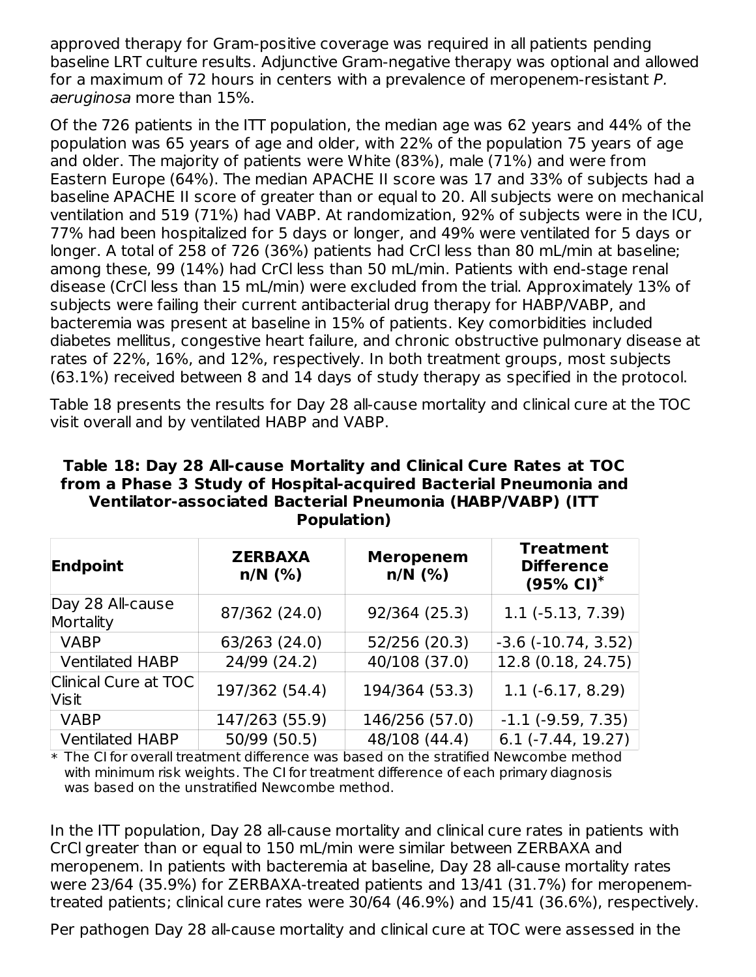approved therapy for Gram-positive coverage was required in all patients pending baseline LRT culture results. Adjunctive Gram-negative therapy was optional and allowed for a maximum of 72 hours in centers with a prevalence of meropenem-resistant P. aeruginosa more than 15%.

Of the 726 patients in the ITT population, the median age was 62 years and 44% of the population was 65 years of age and older, with 22% of the population 75 years of age and older. The majority of patients were White (83%), male (71%) and were from Eastern Europe (64%). The median APACHE II score was 17 and 33% of subjects had a baseline APACHE II score of greater than or equal to 20. All subjects were on mechanical ventilation and 519 (71%) had VABP. At randomization, 92% of subjects were in the ICU, 77% had been hospitalized for 5 days or longer, and 49% were ventilated for 5 days or longer. A total of 258 of 726 (36%) patients had CrCl less than 80 mL/min at baseline; among these, 99 (14%) had CrCl less than 50 mL/min. Patients with end-stage renal disease (CrCl less than 15 mL/min) were excluded from the trial. Approximately 13% of subjects were failing their current antibacterial drug therapy for HABP/VABP, and bacteremia was present at baseline in 15% of patients. Key comorbidities included diabetes mellitus, congestive heart failure, and chronic obstructive pulmonary disease at rates of 22%, 16%, and 12%, respectively. In both treatment groups, most subjects (63.1%) received between 8 and 14 days of study therapy as specified in the protocol.

Table 18 presents the results for Day 28 all-cause mortality and clinical cure at the TOC visit overall and by ventilated HABP and VABP.

| Table 18: Day 28 All-cause Mortality and Clinical Cure Rates at TOC |
|---------------------------------------------------------------------|
| from a Phase 3 Study of Hospital-acquired Bacterial Pneumonia and   |
| Ventilator-associated Bacterial Pneumonia (HABP/VABP) (ITT          |
| Population)                                                         |

| Endpoint                             | <b>ZERBAXA</b><br>$n/N$ (%) | <b>Treatment</b><br><b>Meropenem</b><br><b>Difference</b><br>$n/N$ (%)<br>$(95\% \text{ Cl})^*$ |                             |  |  |
|--------------------------------------|-----------------------------|-------------------------------------------------------------------------------------------------|-----------------------------|--|--|
| Day 28 All-cause<br>Mortality        | 87/362 (24.0)               | 92/364 (25.3)                                                                                   | $1.1$ ( $-5.13$ , $7.39$ )  |  |  |
| <b>VABP</b>                          | 63/263 (24.0)               | 52/256 (20.3)                                                                                   | $-3.6$ $(-10.74, 3.52)$     |  |  |
| <b>Ventilated HABP</b>               | 24/99 (24.2)                | 40/108 (37.0)                                                                                   | 12.8 (0.18, 24.75)          |  |  |
| Clinical Cure at TOC<br><b>Visit</b> | 197/362 (54.4)              | 194/364 (53.3)                                                                                  | $1.1(-6.17, 8.29)$          |  |  |
| <b>VABP</b>                          | 147/263 (55.9)              | 146/256 (57.0)                                                                                  | $-1.1$ ( $-9.59$ , $7.35$ ) |  |  |
| <b>Ventilated HABP</b>               | 50/99 (50.5)                | 48/108 (44.4)                                                                                   | $6.1$ ( $-7.44$ , 19.27)    |  |  |

 $\ast$  The CI for overall treatment difference was based on the stratified Newcombe method with minimum risk weights. The CI for treatment difference of each primary diagnosis was based on the unstratified Newcombe method.

In the ITT population, Day 28 all-cause mortality and clinical cure rates in patients with CrCl greater than or equal to 150 mL/min were similar between ZERBAXA and meropenem. In patients with bacteremia at baseline, Day 28 all-cause mortality rates were 23/64 (35.9%) for ZERBAXA-treated patients and 13/41 (31.7%) for meropenemtreated patients; clinical cure rates were 30/64 (46.9%) and 15/41 (36.6%), respectively.

Per pathogen Day 28 all-cause mortality and clinical cure at TOC were assessed in the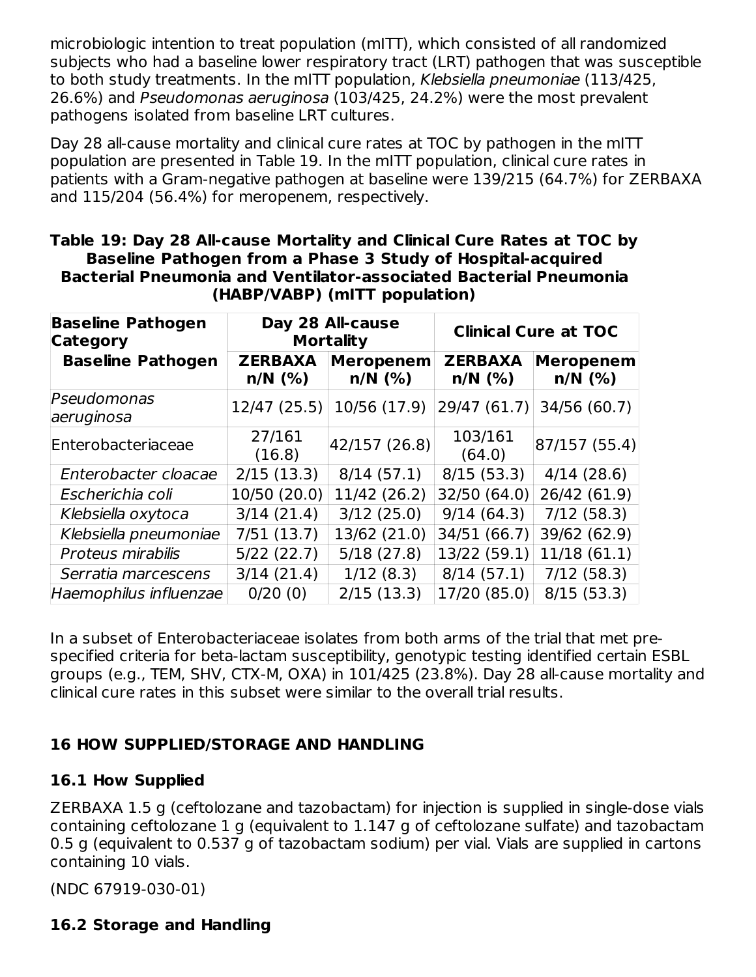microbiologic intention to treat population (mITT), which consisted of all randomized subjects who had a baseline lower respiratory tract (LRT) pathogen that was susceptible to both study treatments. In the mITT population, Klebsiella pneumoniae (113/425, 26.6%) and Pseudomonas aeruginosa (103/425, 24.2%) were the most prevalent pathogens isolated from baseline LRT cultures.

Day 28 all-cause mortality and clinical cure rates at TOC by pathogen in the mITT population are presented in Table 19. In the mITT population, clinical cure rates in patients with a Gram-negative pathogen at baseline were 139/215 (64.7%) for ZERBAXA and 115/204 (56.4%) for meropenem, respectively.

| Table 19: Day 28 All-cause Mortality and Clinical Cure Rates at TOC by   |
|--------------------------------------------------------------------------|
| Baseline Pathogen from a Phase 3 Study of Hospital-acquired              |
| <b>Bacterial Pneumonia and Ventilator-associated Bacterial Pneumonia</b> |
| (HABP/VABP) (mITT population)                                            |

| <b>Baseline Pathogen</b><br><b>Category</b> |                             | Day 28 All-cause<br><b>Mortality</b> | <b>Clinical Cure at TOC</b> |                               |  |
|---------------------------------------------|-----------------------------|--------------------------------------|-----------------------------|-------------------------------|--|
| <b>Baseline Pathogen</b>                    | <b>ZERBAXA</b><br>$n/N$ (%) | <b>Meropenem</b><br>$n/N$ (%)        | <b>ZERBAXA</b><br>$n/N$ (%) | <b>Meropenem</b><br>$n/N$ (%) |  |
| Pseudomonas<br>aeruginosa                   | 12/47(25.5)                 | 10/56 (17.9)                         | 29/47 (61.7)                | 34/56 (60.7)                  |  |
| Enterobacteriaceae                          | 27/161<br>(16.8)            | 42/157 (26.8)                        | 103/161<br>(64.0)           | 87/157(55.4)                  |  |
| Enterobacter cloacae                        | 2/15(13.3)                  | 8/14(57.1)                           | 8/15(53.3)                  | 4/14(28.6)                    |  |
| Escherichia coli                            | 10/50 (20.0)                | 11/42 (26.2)                         | 32/50 (64.0)                | 26/42 (61.9)                  |  |
| Klebsiella oxytoca                          | 3/14(21.4)                  | 3/12(25.0)                           | 9/14(64.3)                  | 7/12(58.3)                    |  |
| Klebsiella pneumoniae                       | 7/51(13.7)                  | 13/62 (21.0)                         | 34/51 (66.7)                | 39/62 (62.9)                  |  |
| Proteus mirabilis                           | 5/22(22.7)                  | 5/18(27.8)                           | 13/22 (59.1)                | 11/18(61.1)                   |  |
| Serratia marcescens                         | 3/14(21.4)                  | 1/12(8.3)                            | 8/14(57.1)                  | 7/12(58.3)                    |  |
| Haemophilus influenzae                      | 0/20(0)                     | 2/15(13.3)                           | 17/20 (85.0)                | 8/15(53.3)                    |  |

In a subset of Enterobacteriaceae isolates from both arms of the trial that met prespecified criteria for beta-lactam susceptibility, genotypic testing identified certain ESBL groups (e.g., TEM, SHV, CTX-M, OXA) in 101/425 (23.8%). Day 28 all-cause mortality and clinical cure rates in this subset were similar to the overall trial results.

### **16 HOW SUPPLIED/STORAGE AND HANDLING**

### **16.1 How Supplied**

ZERBAXA 1.5 g (ceftolozane and tazobactam) for injection is supplied in single-dose vials containing ceftolozane 1 g (equivalent to 1.147 g of ceftolozane sulfate) and tazobactam 0.5 g (equivalent to 0.537 g of tazobactam sodium) per vial. Vials are supplied in cartons containing 10 vials.

(NDC 67919-030-01)

### **16.2 Storage and Handling**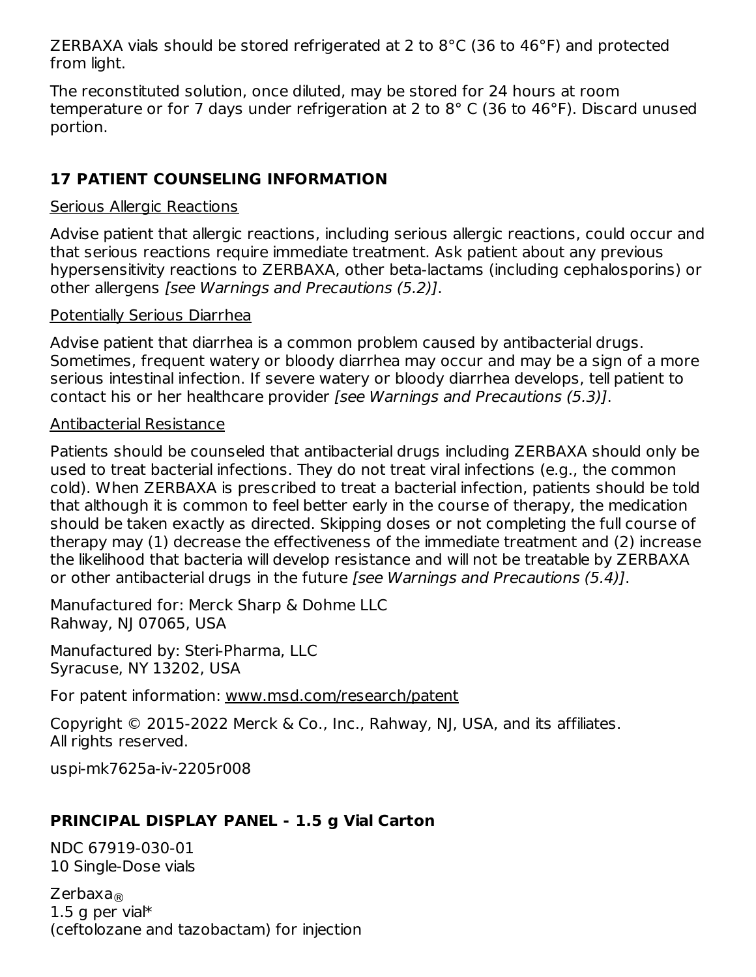ZERBAXA vials should be stored refrigerated at 2 to 8°C (36 to 46°F) and protected from light.

The reconstituted solution, once diluted, may be stored for 24 hours at room temperature or for 7 days under refrigeration at 2 to 8° C (36 to 46°F). Discard unused portion.

## **17 PATIENT COUNSELING INFORMATION**

#### Serious Allergic Reactions

Advise patient that allergic reactions, including serious allergic reactions, could occur and that serious reactions require immediate treatment. Ask patient about any previous hypersensitivity reactions to ZERBAXA, other beta-lactams (including cephalosporins) or other allergens [see Warnings and Precautions (5.2)].

#### Potentially Serious Diarrhea

Advise patient that diarrhea is a common problem caused by antibacterial drugs. Sometimes, frequent watery or bloody diarrhea may occur and may be a sign of a more serious intestinal infection. If severe watery or bloody diarrhea develops, tell patient to contact his or her healthcare provider [see Warnings and Precautions (5.3)].

#### Antibacterial Resistance

Patients should be counseled that antibacterial drugs including ZERBAXA should only be used to treat bacterial infections. They do not treat viral infections (e.g., the common cold). When ZERBAXA is prescribed to treat a bacterial infection, patients should be told that although it is common to feel better early in the course of therapy, the medication should be taken exactly as directed. Skipping doses or not completing the full course of therapy may (1) decrease the effectiveness of the immediate treatment and (2) increase the likelihood that bacteria will develop resistance and will not be treatable by ZERBAXA or other antibacterial drugs in the future [see Warnings and Precautions (5.4)].

Manufactured for: Merck Sharp & Dohme LLC Rahway, NJ 07065, USA

Manufactured by: Steri-Pharma, LLC Syracuse, NY 13202, USA

For patent information: www.msd.com/research/patent

Copyright © 2015-2022 Merck & Co., Inc., Rahway, NJ, USA, and its affiliates. All rights reserved.

uspi-mk7625a-iv-2205r008

# **PRINCIPAL DISPLAY PANEL - 1.5 g Vial Carton**

NDC 67919-030-01 10 Single-Dose vials

Zerbaxa ®1.5 g per vial\* (ceftolozane and tazobactam) for injection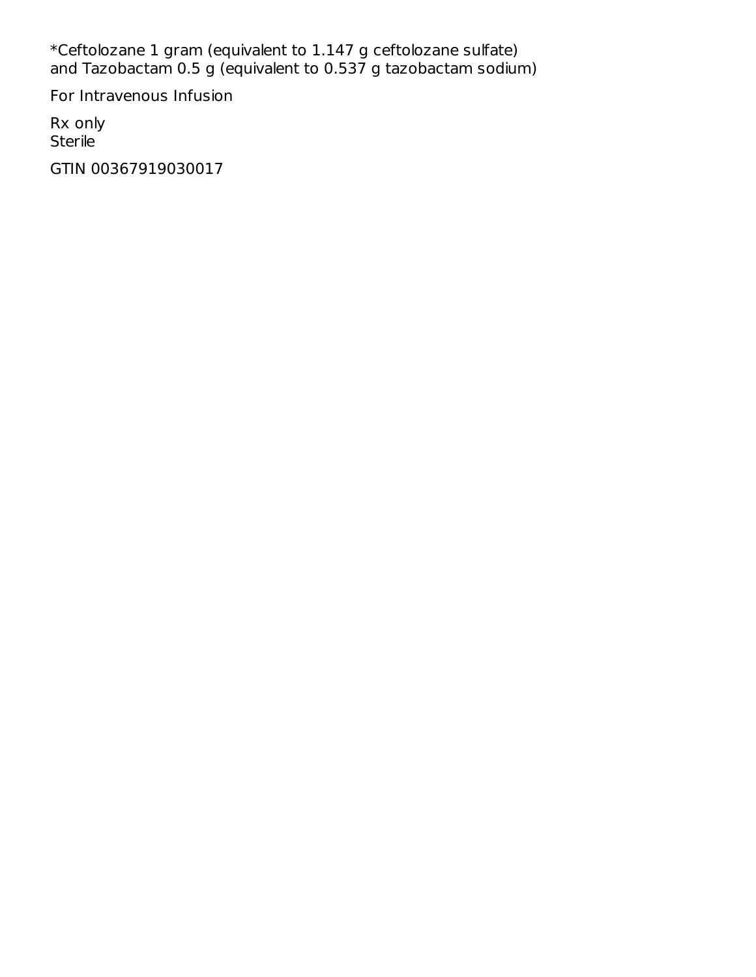\*Ceftolozane 1 gram (equivalent to 1.147 g ceftolozane sulfate) and Tazobactam 0.5 g (equivalent to 0.537 g tazobactam sodium)

For Intravenous Infusion

Rx only Sterile

GTIN 00367919030017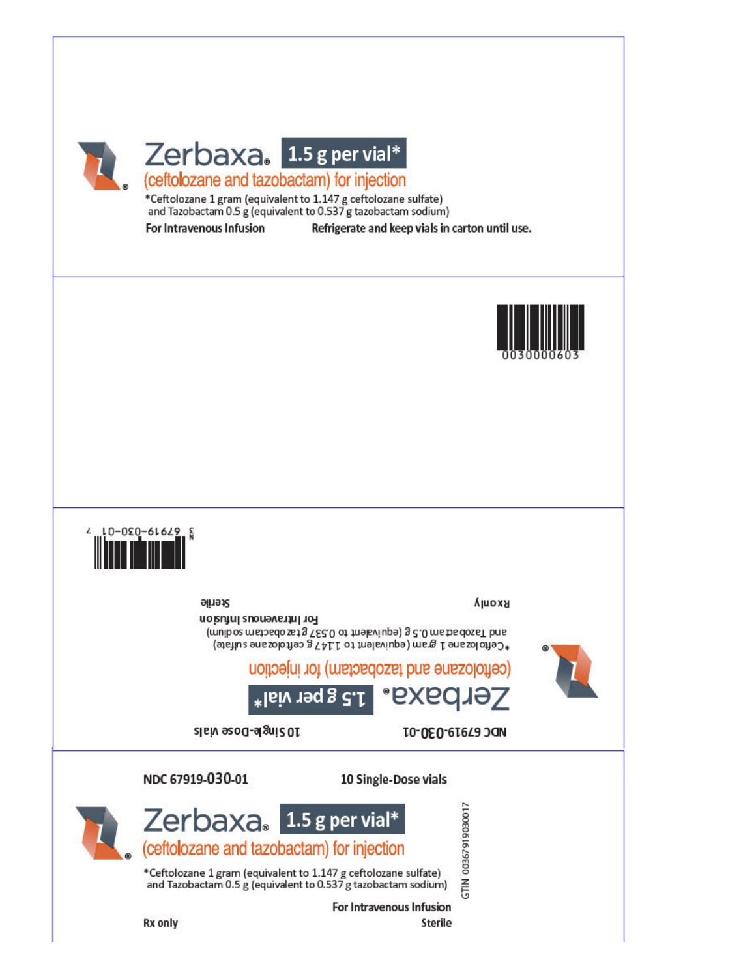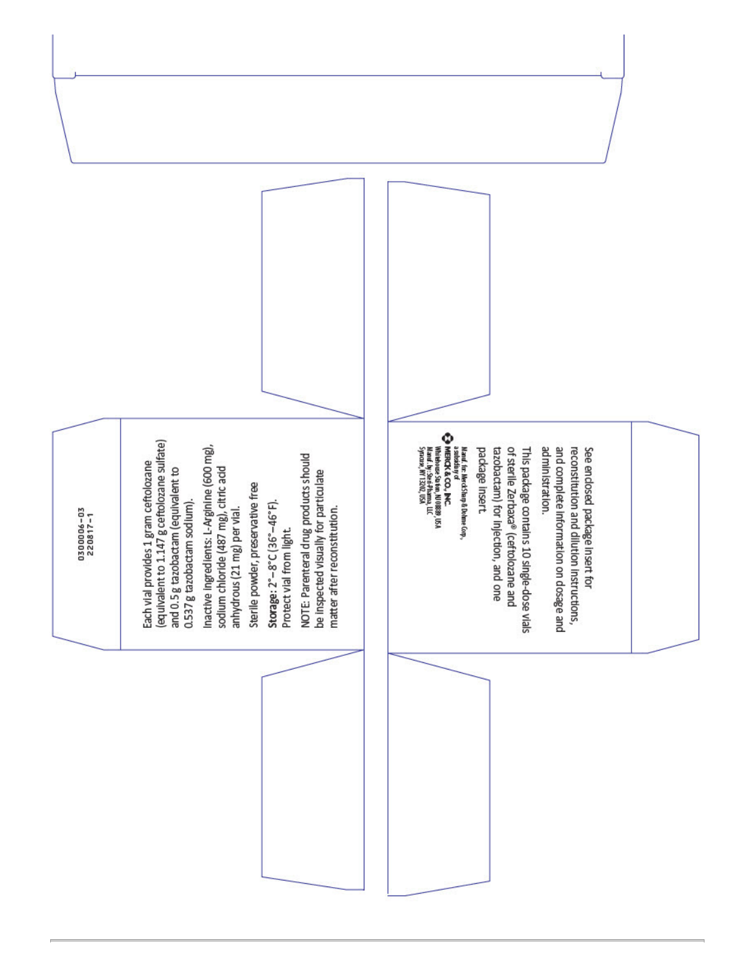